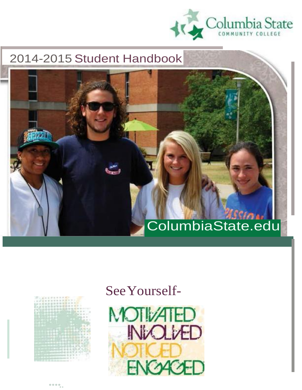

## 2014-2015 Student Handbook

# ColumbiaState.edu

|  |  |  |                  | š |  |   |
|--|--|--|------------------|---|--|---|
|  |  |  |                  |   |  |   |
|  |  |  |                  |   |  |   |
|  |  |  |                  |   |  |   |
|  |  |  |                  |   |  |   |
|  |  |  |                  |   |  | ä |
|  |  |  |                  |   |  |   |
|  |  |  |                  |   |  |   |
|  |  |  |                  |   |  |   |
|  |  |  |                  |   |  |   |
|  |  |  |                  |   |  |   |
|  |  |  |                  |   |  |   |
|  |  |  |                  |   |  |   |
|  |  |  |                  |   |  |   |
|  |  |  |                  |   |  |   |
|  |  |  | <b>START COM</b> |   |  |   |
|  |  |  |                  |   |  |   |

## SeeYourself-



••••..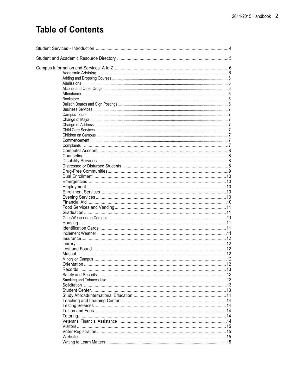## **Table of Contents**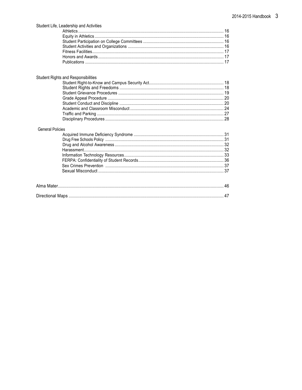| Student Life, Leadership and Activities    |  |
|--------------------------------------------|--|
| <b>Student Rights and Responsibilities</b> |  |
|                                            |  |
| <b>General Policies</b>                    |  |
|                                            |  |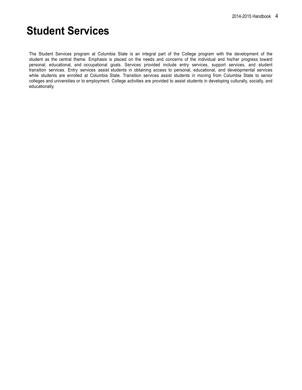## **Student Services**

The Student Services program at Columbia State is an integral part of the College program with the development of the student as the central theme. Emphasis is placed on the needs and concerns of the individual and his/her progress toward personal, educational, and occupational goals. Services provided include entry services, support services, and student transition services. Entry services assist students in obtaining access to personal, educational, and developmental services while students are enrolled at Columbia State. Transition services assist students in moving from Columbia State to senior colleges and universities or to employment. College activities are provided to assist students in developing culturally, socially, and educationally.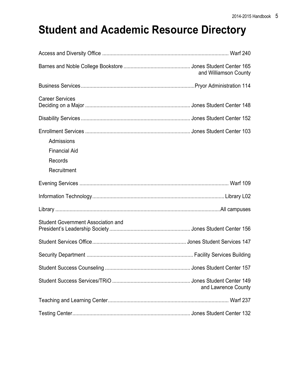## **Student and Academic Resource Directory**

|                                           | and Williamson County |
|-------------------------------------------|-----------------------|
|                                           |                       |
| <b>Career Services</b>                    |                       |
|                                           |                       |
|                                           |                       |
| Admissions                                |                       |
| <b>Financial Aid</b>                      |                       |
| Records                                   |                       |
| Recruitment                               |                       |
|                                           |                       |
|                                           |                       |
|                                           |                       |
| <b>Student Government Association and</b> |                       |
|                                           |                       |
|                                           |                       |
|                                           |                       |
|                                           | and Lawrence County   |
|                                           |                       |
|                                           |                       |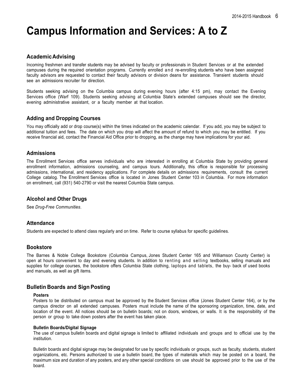## **Campus Information and Services: A to Z**

## **AcademicAdvising**

Incoming freshmen and transfer students may be advised by faculty or professionals in Student Services or at the extended campuses during the required orientation programs. Currently enrolled and re-enrolling students who have been assigned faculty advisors are requested to contact their faculty advisors or division deans for assistance. Transient students should see an admissions recruiter for direction.

Students seeking advising on the Columbia campus during evening hours (after 4:15 pm), may contact the Evening Services office (Warf 109). Students seeking advising at Columbia State's extended campuses should see the director, evening administrative assistant, or a faculty member at that location.

## **Adding and Dropping Courses**

You may officially add or drop course(s) within the times indicated on the academic calendar. If you add, you may be subject to additional tuition and fees. The date on which you drop will affect the amount of refund to which you may be entitled. If you receive financial aid, contact the Financial Aid Office prior to dropping, as the change may have implications for your aid.

## **Admissions**

The Enrollment Services office serves individuals who are interested in enrolling at Columbia State by providing general enrollment information, admissions counseling, and campus tours. Additionally, this office is responsible for processing admissions, international, and residency applications. For complete details on admissions requirements, consult the current College catalog. The Enrollment Services office is located in Jones Student Center 103 in Columbia. For more information on enrollment, call (931) 540-2790 or visit the nearest Columbia State campus.

## **Alcohol and Other Drugs**

See *Drug-Free Communities*.

## **Attendance**

Students are expected to attend class regularly and on time. Refer to course syllabus for specific guidelines.

### **Bookstore**

The Barnes & Noble College Bookstore (Columbia Campus, Jones Student Center 165 and Williamson County Center) is open at hours convenient to day and evening students. In addition to renting and selling textbooks, selling manuals and supplies for college courses, the bookstore offers Columbia State clothing, laptops and tablets, the buy- back of used books and manuals, as well as gift items.

## **Bulletin Boards and Sign Posting**

#### **Posters**

Posters to be distributed on campus must be approved by the Student Services office (Jones Student Center 164), or by the campus director on all extended campuses. Posters must include the name of the sponsoring organization, time, date, and location of the event. All notices should be on bulletin boards; not on doors, windows, or walls. It is the responsibility of the person or group to take down posters after the event has taken place.

#### **Bulletin Boards/Digital Signage**

The use of campus bulletin boards and digital signage is limited to affiliated individuals and groups and to official use by the institution.

Bulletin boards and digital signage may be designated for use by specific individuals or groups, such as faculty, students, student organizations, etc. Persons authorized to use a bulletin board, the types of materials which may be posted on a board, the maximum size and duration of any posters, and any other special conditions on use should be approved prior to the use of the board.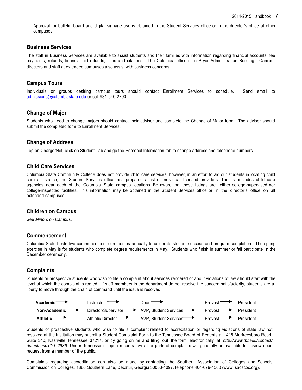Approval for bulletin board and digital signage use is obtained in the Student Services office or in the director's office at other campuses.

### **Business Services**

The staff in Business Services are available to assist students and their families with information regarding financial accounts, fee payments, refunds, financial aid refunds, fines and citations. The Columbia office is in Pryor Administration Building. Campus directors and staff at extended campuses also assist with business concerns.

### **Campus Tours**

Individuals or groups desiring campus tours should contact Enrollment Services to schedule. Send email to [admissions@columbiastate.edu](mailto:admissions@columbiastate.edu) or call 931-540-2790.

## **Change of Major**

Students who need to change majors should contact their advisor and complete the Change of Major form. The advisor should submit the completed form to Enrollment Services.

## **Change of Address**

Log on ChargerNet, click on Student Tab and go the Personal Information tab to change address and telephone numbers.

## **Child Care Services**

Columbia State Community College does not provide child care services; however, in an effort to aid our students in locating child care assistance, the Student Services office has prepared a list of individual licensed providers. The list includes child care agencies near each of the Columbia State campus locations. Be aware that these listings are neither college-supervised nor college-inspected facilities. This information may be obtained in the Student Services office or in the director's office on all extended campuses.

### **Children on Campus**

See *Minors on Campus*.

### **Commencement**

Columbia State hosts two commencement ceremonies annually to celebrate student success and program completion. The spring exercise in May is for students who complete degree requirements in May. Students who finish in summer or fall participate in the December ceremony.

## **Complaints**

Students or prospective students who wish to file a complaint about services rendered or about violations of law should start with the level at which the complaint is rooted. If staff members in the department do not resolve the concern satisfactorily, students are at liberty to move through the chain of command until the issue is resolved.



Students or prospective students who wish to file a complaint related to accreditation or regarding violations of state law not resolved at the institution may submit a Student Complaint Form to the Tennessee Board of Regents at 1415 Murfreesboro Road, Suite 340, Nashville Tennessee 37217, or by going online and filing out the form electronically at *<http://www.tbr.edu/contact/> default.aspx?id=2936*. Under Tennessee's open records law all or parts of complaints will generally be available for review upon request from a member of the public.

Complaints regarding accreditation can also be made by contacting the Southern Association of Colleges and Schools Commission on Colleges, 1866 Southern Lane, Decatur, Georgia 30033-4097, telephone 404-679-4500 [\(www.](http://www/) sacscoc.org).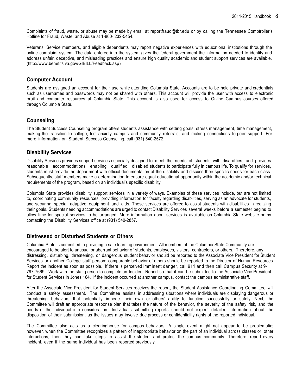Complaints of fraud, waste, or abuse may be made by email at [reportfraud@tbr.edu](mailto:reportfraud@tbr.edu) or by calling the Tennessee Comptroller's Hotline for Fraud, Waste, and Abuse at 1-800- 232-5454**.**

Veterans, Service members, and eligible dependents may report negative experiences with educational institutions through the online complaint system. The data entered into the system gives the federal government the information needed to identify and address unfair, deceptive, and misleading practices and ensure high quality academic and student support services are available. (http://www.benefits.va.gov/GIBILL/Feedback.asp)

### **Computer Account**

Students are assigned an account for their use while attending Columbia State. Accounts are to be held private and credentials such as usernames and passwords may not be shared with others. This account will provide the user with access to electronic mail and computer resources at Columbia State. This account is also used for access to Online Campus courses offered through Columbia State.

## **Counseling**

The Student Success Counseling program offers students assistance with setting goals, stress management, time management, making the transition to college, test anxiety, campus and community referrals, and making connections to peer support. For more information on Student Success Counseling, call (931) 540-2572.

## **Disability Services**

Disability Services provides support services especially designed to meet the needs of students with disabilities, and provides reasonable accommodations enabling qualified disabled students to participate fully in campus life. To qualify for services, students must provide the department with official documentation of the disability and discuss their specific needs for each class. Subsequently, staff members make a determination to ensure equal educational opportunity within the academic and/or technical requirements of the program, based on an individual's specific disability.

Columbia State provides disability support services in a variety of ways. Examples of these services include, but are not limited to, coordinating community resources, providing information for faculty regarding disabilities, serving as an advocate for students, and securing special adaptive equipment and aids. These services are offered to assist students with disabilities in realizing their goals. Students needing accommodations are urged to contact Disability Services several weeks before a semester begins to allow time for special services to be arranged. More information about services is available on Columbia State website or by contacting the Disability Services office at (931) 540-2857.

## **Distressed or Disturbed Students or Others**

Columbia State is committed to providing a safe learning environment. All members of the Columbia State Community are encouraged to be alert to unusual or aberrant behavior of students, employees, visitors, contractors, or others. Therefore, any distressing, disturbing, threatening, or dangerous student behavior should be reported to the Associate Vice President for Student Services or another College staff person; comparable behavior of others should be reported to the Director of Human Resources. Report the incident as soon as possible. If there is perceived imminent danger, call 911 and then call Campus Security at 9- 797-7669. Work with the staff person to complete an Incident Report so that it can be submitted to the Associate Vice President for Student Services in Jones 164. If the incident occurred at another campus, contact the campus administrative staff.

After the Associate Vice President for Student Services receives the report, the Student Assistance Coordinating Committee will conduct a safety assessment. The Committee assists in addressing situations where individuals are displaying dangerous or threatening behaviors that potentially impede their own or others' ability to function successfully or safely. Next, the Committee will draft an appropriate response plan that takes the nature of the behavior, the severity of the safety risk, and the needs of the individual into consideration. Individuals submitting reports should not expect detailed information about the disposition of their submission, as the issues may involve due process or confidentiality rights of the reported individual.

The Committee also acts as a clearinghouse for campus behaviors. A single event might not appear to be problematic; however, when the Committee recognizes a pattern of inappropriate behavior on the part of an individual across classes or other interactions, then they can take steps to assist the student and protect the campus community. Therefore, report every incident, even if the same individual has been reported previously.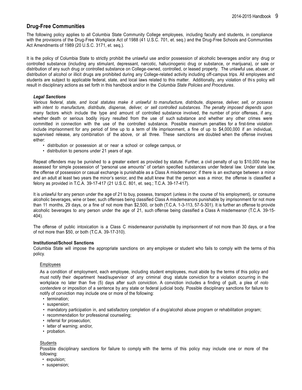## **Drug-Free Communities**

The following policy applies to all Columbia State Community College employees, including faculty and students, in compliance with the provisions of the Drug-Free Workplace Act of 1988 (41 U.S.C. 701, et. seq.) and the Drug-Free Schools and Communities Act Amendments of 1989 (20 U.S.C. 3171, et. seq.).

It is the policy of Columbia State to strictly prohibit the unlawful use and/or possession of alcoholic beverages and/or any drug or controlled substance (including any stimulant, depressant, narcotic, hallucinogenic drug or substance, or marijuana), or sale or distribution of any such drug or controlled substance on College-owned, controlled, or leased property. The unlawful use, abuser, or distribution of alcohol or illicit drugs are prohibited during any College-related activity including off-campus trips. All employees and students are subject to applicable federal, state, and local laws related to this matter. Additionally, any violation of this policy will result in disciplinary actions as set forth in this handbook and/or in the *Columbia State Policies and Procedures*.

#### *Legal Sanctions*

Various federal, state, and local statutes make it unlawful to manufacture, distribute, dispense, deliver, sell, or possess *with intent to manufacture, distribute, dispense, deliver, or sell controlled substances. The penalty imposed depends upon* many factors which include the type and amount of controlled substance involved, the number of prior offenses, if any, whether death or serious bodily injury resulted from the use of such substance and whether any other crimes were committed in connection with the use of the controlled substance. Possible maximum penalties for a first-time violation include imprisonment for any period of time up to a term of life imprisonment, a fine of up to \$4,000,000 if an individual, supervised release, any combination of the above, or all three. These sanctions are doubled when the offense involves either:

- distribution or possession at or near a school or college campus, or
- distribution to persons under 21 years of age.

Repeat offenders may be punished to a greater extent as provided by statute. Further, a civil penalty of up to \$10,000 may be assessed for simple possession of "personal use amounts" of certain specified substances under federal law. Under state law, the offense of possession or casual exchange is punishable as a Class A misdemeanor; if there is an exchange between a minor and an adult at least two years the minor's senior, and the adult knew that the person was a minor, the offense is classified a felony as provided in T.C.A. 39-17-417 (21 U.S.C. 801, et. seq.; T.C.A. 39-17-417).

It is unlawful for any person under the age of 21 to buy, possess, transport (unless in the course of his employment), or consume alcoholic beverages, wine or beer, such offenses being classified Class A misdemeanors punishable by imprisonment for not more than 11 months, 29 days, or a fine of not more than \$2,500, or both (T.C.A. 1-3-113, 57-5-301). It is further an offense to provide alcoholic beverages to any person under the age of 21, such offense being classified a Class A misdemeanor (T.C.A. 39-15- 404).

The offense of public intoxication is a Class C misdemeanor punishable by imprisonment of not more than 30 days, or a fine of not more than \$50, or both (T.C.A. 39-17-310).

#### **Institutional/School Sanctions**

Columbia State will impose the appropriate sanctions on any employee or student who fails to comply with the terms of this policy.

#### Employees

As a condition of employment, each employee, including student employees, must abide by the terms of this policy and must notify their department head/supervisor of any criminal drug statute conviction for a violation occurring in the workplace no later than five (5) days after such conviction. A conviction includes a finding of guilt, a plea of *nolo contendere* or imposition of a sentence by any state or federal judicial body. Possible disciplinary sanctions for failure to notify of conviction may include one or more of the following:

- termination;
- suspension;
- mandatory participation in, and satisfactory completion of a drug/alcohol abuse program or rehabilitation program;
- recommendation for professional counseling;
- referral for prosecution;
- letter of warning; and/or,
- probation.

#### **Students**

Possible disciplinary sanctions for failure to comply with the terms of this policy may include one or more of the following:

- expulsion;
- suspension;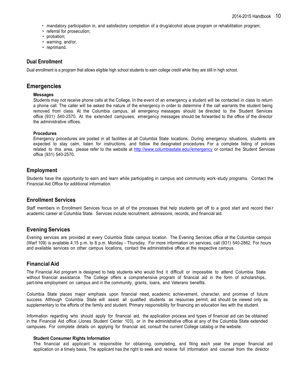- mandatory participation in, and satisfactory completion of a drug/alcohol abuse program or rehabilitation program;
- referral for prosecution:
- probation:
- warning; and/or,
- reprimand.

## **Dual Enrollment**

Dual enrollment is a program that allows eligible high school students to earn college credit while they are still in high school.

## **Emergencies**

#### **Messages**

Students may not receive phone calls at the College. In the event of an emergency a student will be contacted in class to return a phone call. The caller will be asked the nature of the emergency in order to determine if the call warrants the student being removed from class. At the Columbia campus, all emergency messages should be directed to the Student Services office (931) 540-2570. At the extended campuses, emergency messages should be forwarded to the office of the director the administrative offices.

#### **Procedures**

Emergency procedures are posted in all facilities at all Columbia State locations. During emergency situations, students are expected to stay calm, listen for instructions, and follow the designated procedures. For a complete listing of policies related to this area, please refer to the website at [http://www.columbiastate.edu//emergency](http://www.columbiastate.edu/emergency) or contact the Student Services office (931) 540-2570.

## **Employment**

Students have the opportunity to earn and learn while participating in campus and community work-study programs. Contact the Financial Aid Office for additional information.

## **Enrollment Services**

Staff members in Enrollment Services focus on all of the processes that help students get off to a good start and record their academic career at Columbia State. Services include recruitment, admissions, records, and financial aid.

## **Evening Services**

Evening services are provided at every Columbia State campus location. The Evening Services office at the Columbia campus (Warf 109) is available 4:15 p.m. to 8 p.m. Monday - Thursday. For more information on services, call (931) 540-2862. For hours and available services on other campus locations, contact the administrative office at the respective campus.

## **FinancialAid**

The Financial Aid program is designed to help students who would find it difficult or impossible to attend Columbia State without financial assistance. The College offers a comprehensive program of financial aid in the form of scholarships, part-time employment on campus and in the community, grants, loans, and Veterans benefits.

Columbia State places major emphasis upon financial need, academic achievement, character, and promise of future success. Although Columbia State will assist all qualified students as resources permit, aid should be viewed only as supplementary to the efforts of the family and student. Primary responsibility for financing an education lies with the student.

Information regarding who should apply for financial aid, the application process and types of financial aid can be obtained in the Financial Aid office (Jones Student Center 103), or in the administrative office at any of the Columbia State extended campuses. For complete details on applying for financial aid, consult the current College catalog or the website.

#### **Student Consumer Rights Information**

The financial aid applicant is responsible for obtaining, completing, and filing each year the proper financial aid application on a timely basis. The applicant has the right to seek and receive full information and counsel from the director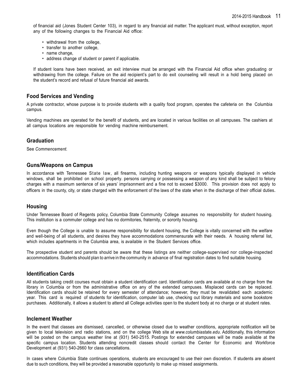of financial aid (Jones Student Center 103), in regard to any financial aid matter. The applicant must, without exception, report any of the following changes to the Financial Aid office:

- withdrawal from the college,
- transfer to another college,
- name change,
- address change of student or parent if applicable.

If student loans have been received, an exit interview must be arranged with the Financial Aid office when graduating or withdrawing from the college. Failure on the aid recipient's part to do exit counseling will result in a hold being placed on the student's record and refusal of future financial aid awards.

## **Food Services and Vending**

A private contractor, whose purpose is to provide students with a quality food program, operates the cafeteria on the Columbia campus.

Vending machines are operated for the benefit of students, and are located in various facilities on all campuses. The cashiers at all campus locations are responsible for vending machine reimbursement.

## **Graduation**

See *Commencement.*

### **Guns/Weapons on Campus**

In accordance with Tennessee State law, all firearms, including hunting weapons or weapons typically displayed in vehicle windows, shall be prohibited on school property. persons carrying or possessing a weapon of any kind shall be subject to felony charges with a maximum sentence of six years' imprisonment and a fine not to exceed \$3000. This provision does not apply to officers in the county, city, or state charged with the enforcement of the laws of the state when in the discharge of their official duties.

### **Housing**

Under Tennessee Board of Regents policy, Columbia State Community College assumes no responsibility for student housing. This institution is a commuter college and has no dormitories, fraternity, or sorority housing.

Even though the College is unable to assume responsibility for student housing, the College is vitally concerned with the welfare and well-being of all students, and desires they have accommodations commensurate with their needs. A housing referral list, which includes apartments in the Columbia area, is available in the Student Services office.

The prospective student and parents should be aware that these listings are neither college-supervised nor college-inspected accommodations. Students should plan to arrive in the community in advance of final registration dates to find suitable housing.

## **Identification Cards**

All students taking credit courses must obtain a student identification card. Identification cards are available at no charge from the library in Columbia or from the administrative office on any of the extended campuses. Misplaced cards can be replaced. Identification cards should be retained for every semester of attendance; however, they must be revalidated each academic year. This card is required of students for identification, computer lab use, checking out library materials and some bookstore purchases. Additionally, it allows a student to attend all College activities open to the student body at no charge or at student rates.

### **Inclement Weather**

In the event that classes are dismissed, cancelled, or otherwise closed due to weather conditions, appropriate notification will be given to local television and radio stations, and on the college Web site at *[www.columbiastate.edu](http://www.columbiastate.edu/)*. Additionally, this information will be posted on the campus weather line at (931) 540-2515. Postings for extended campuses will be made available at the specific campus location. Students attending noncredit classes should contact the Center for Economic and Workforce Development at (931) 540-2660 for class cancellations.

In cases where Columbia State continues operations, students are encouraged to use their own discretion. If students are absent due to such conditions, they will be provided a reasonable opportunity to make up missed assignments.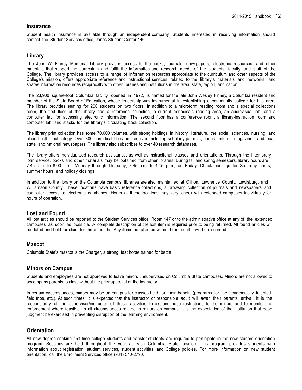#### I**nsurance**

Student health insurance is available through an independent company. Students interested in receiving information should contact the Student Services office, Jones Student Center 146.

### **Library**

The John W. Finney Memorial Library provides access to the books, journals, newspapers, electronic resources, and other materials that support the curriculum and fulfill the information and research needs of the students, faculty, and staff of the College. The library provides access to a range of information resources appropriate to the curriculum and other aspects of the College's mission, offers appropriate reference and instructional services related to the library's materials and networks, and shares information resources reciprocally with other libraries and institutions in the area, state, region, and nation.

The 23,900 square-foot Columbia facility, opened in 1972, is named for the late John Wesley Finney, a Columbia resident and member of the State Board of Education, whose leadership was instrumental in establishing a community college for this area. The library provides seating for 200 students on two floors. In addition to a microform reading room and a special collections room, the first floor of the library has a reference collection, a current periodicals reading area, an audiovisual lab, and a computer lab for accessing electronic information. The second floor has a conference room, a library-instruction room and computer lab, and stacks for the library's circulating book collection.

The library print collection has some 70,000 volumes, with strong holdings in history, literature, the social sciences, nursing, and allied health technology. Over 300 periodical titles are received including scholarly journals, general interest magazines, and local, state, and national newspapers. The library also subscribes to over 40 research databases.

The library offers individualized research assistance, as well as instructional classes and orientations. Through the interlibrary loan service, books and other materials may be obtained from other libraries. During fall and spring semesters, library hours are 7:45 a.m. to 8:00 p.m., Monday through Thursday; 7:45 a.m. to 4:15 p.m., on Friday. Check postings for Saturday hours, summer hours, and holiday closings.

In addition to the library on the Columbia campus, libraries are also maintained at Clifton, Lawrence County, Lewisburg, and Williamson County. These locations have basic reference collections, a browsing collection of journals and newspapers, and computer access to electronic databases. Hours at these locations may vary; check with extended campuses individually for hours of operation.

### **Lost and Found**

All lost articles should be reported to the Student Services office, Room 147 or to the administrative office at any of the extended campuses as soon as possible. A complete description of the lost item is required prior to being returned. All found articles will be dated and held for claim for three months. Any items not claimed within three months will be discarded.

### **Mascot**

Columbia State's mascot is the Charger, a strong, fast horse trained for battle.

### **Minors on Campus**

Students and employees are not approved to leave minors unsupervised on Columbia State campuses. Minors are not allowed to accompany parents to class without the prior approval of the instructor.

In certain circumstances, minors may be on campus for classes held for their benefit (programs for the academically talented, field trips, etc.). At such times, it is expected that the instructor or responsible adult will await their parents' arrival. It is the responsibility of the supervisor/instructor of these activities to explain these restrictions to the minors and to monitor the enforcement where feasible. In all circumstances related to minors on campus, it is the expectation of the institution that good judgment be exercised in preventing disruption of the learning environment.

## **Orientation**

All new degree-seeking first-time college students and transfer students are required to participate in the new student orientation program. Sessions are held throughout the year at each Columbia State location. This program provides students with information about registration, student services, student activities, and College policies. For more information on new student orientation, call the Enrollment Services office (931) 540-2790.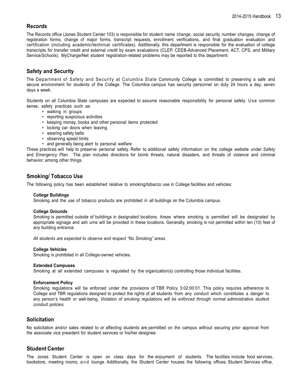## **Re***cords*

The Records office (Jones Student Center 103) is responsible for student name change, social security number changes, change of registration forms, change of major forms, transcript requests, enrollment verifications, and final graduation evaluation and certification (including academic/technical certificates). Additionally, this department is responsible for the evaluation of college transcripts for transfer credit and external credit by exam evaluations (CLEP, CEEB-Advanced Placement, ACT, CPS, and Military Service/Schools). MyChargerNet student registration-related problems may be reported to this department.

## **Safety and Security**

The Department of Safety and Security at Columbia State Community College is committed to preserving a safe and secure environment for students of the College. The Columbia campus has security personnel on duty 24 hours a day, seven days a week.

Students on all Columbia State campuses are expected to assume reasonable responsibility for personal safety. U se common sense, safety practices such as:

- walking in groups
	- reporting suspicious activities
	- keeping money, books and other personal items protected
	- locking car doors when leaving
	- wearing safety belts
	- observing speed limits
	- and generally being alert to personal welfare

These practices will help to preserve personal safety. Refer to additional safety information on the college website under *Safety* and *Emergency Plan*. The plan includes directions for bomb threats, natural disasters, and threats of violence and criminal behavior; among other things.

## **Smoking/ Tobacco Use**

The following policy has been established relative to smoking/tobacco use in College facilities and vehicles:

#### **College Buildings**

Smoking and the use of tobacco products are prohibited in all buildings on the Columbia campus.

#### **College Grounds**

Smoking is permitted outside of buildings in designated locations. Areas where smoking is permitted will be designated by appropriate signage and ash urns will be provided in these locations. Generally, smoking is not permitted within ten (10) feet of any building entrance.

*All students are expected to observe and respect "No Smoking" areas.*

#### **College Vehicles**

Smoking is prohibited in all College-owned vehicles.

#### **Extended Campuses**

Smoking at all extended campuses is regulated by the organization(s) controlling those individual facilities.

#### **Enforcement Policy**

Smoking regulations will be enforced under the provisions of TBR Policy 3:02:00:01. This policy requires adherence to College and TBR regulations designed to protect the rights of all students from any conduct which constitutes a danger to any person's health or well-being. *Violation of smoking regulations will be enforced through normal administrative student conduct policies.*

### **Solicitation**

No solicitation and/or sales related to or affecting students are permitted on the campus without securing prior approval from the associate vice president for student services or his/her designee.

### **Student Center**

The Jones Student Center is open on class days for the enjoyment of students. The facilities include food services, bookstore, meeting rooms, a n d lounge. Additionally, the Student Center houses the following offices: Student Services office,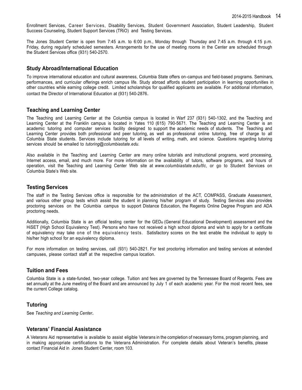Enrollment Services, Career Services, Disability Services, Student Government Association, Student Leadership, Student Success Counseling, Student Support Services (TRiO) and Testing Services.

The Jones Student Center is open from 7:45 a.m. to 6:00 p.m., Monday through Thursday and 7:45 a.m. through 4:15 p.m. Friday, during regularly scheduled semesters. Arrangements for the use of meeting rooms in the Center are scheduled through the Student Services office (931) 540-2570.

## **Study Abroad/International Education**

To improve international education and cultural awareness, Columbia State offers on-campus and field-based programs. Seminars, performances, and curricular offerings enrich campus life. Study abroad affords student participation in learning opportunities in other countries while earning college credit. Limited scholarships for qualified applicants are available. For additional information, contact the Director of International Education at (931) 540-2876.

## **Teaching and Learning Center**

The Teaching and Learning Center at the Columbia campus is located in Warf 237 (931) 540-1302, and the Teaching and Learning Center at the Franklin campus is located in Yates 110 (615) 790-5671. The Teaching and Learning Center is an academic tutoring and computer services facility designed to support the academic needs of students. The Teaching and Learning Center provides both professional and peer tutoring, as well as professional online tutoring, free of charge to all Columbia State students. Services include tutoring for all levels of writing, math, and science. Questions regarding tutoring services should be emailed to *tutoring@columbiastate.edu*.

Also available in the Teaching and Learning Center are many online tutorials and instructional programs, word processing, Internet access, email, and much more. For more information on the availability of tutors, software programs, and hours of operation, visit the Teaching and Learning Center Web site at *[www.columbiastate.edu/tlc](http://www.columbiastate.edu/tlc)*, or go to Student Services on Columbia State's Web site.

## **Testing Services**

The staff in the Testing Services office is responsible for the administration of the ACT, COMPASS, Graduate Assessment, and various other group tests which assist the student in planning his/her program of study. Testing Services also provides proctoring services on the Columbia campus to support Distance Education, the Regents Online Degree Program and ADA proctoring needs.

Additionally, Columbia State is an official testing center for the GED® (General Educational Development) assessment and the HiSET (High School Equivalency Test). Persons who have not received a high school diploma and wish to apply for a certificate of equivalency may take one of the equivalency tests. Satisfactory scores on the test enable the individual to apply to his/her high school for an equivalency diploma.

For more information on testing services, call (931) 540-2821. For test proctoring information and testing services at extended campuses, please contact staff at the respective campus location.

### **Tuition and Fees**

Columbia State is a state-funded, two-year college. Tuition and fees are governed by the Tennessee Board of Regents. Fees are set annually at the June meeting of the Board and are announced by July 1 of each academic year. For the most recent fees, see the current College catalog.

## **Tutoring**

See *Teaching and Learning Center***.**

### **Veterans' Financial Assistance**

A Veterans Aid representative is available to assist eligible Veterans in the completion of necessary forms, program planning, and in making appropriate certifications to the Veterans Administration. For complete details about Veteran's benefits, please contact Financial Aid in Jones Student Center, room 103.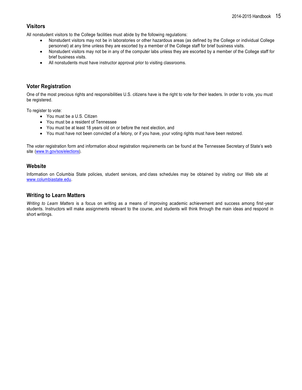## **Visitors**

All nonstudent visitors to the College facilities must abide by the following regulations:

- Nonstudent visitors may not be in laboratories or other hazardous areas (as defined by the College or individual College personnel) at any time unless they are escorted by a member of the College staff for brief business visits.
- Nonstudent visitors may not be in any of the computer labs unless they are escorted by a member of the College staff for brief business visits.
- All nonstudents must have instructor approval prior to visiting classrooms.

## **Voter Registration**

One of the most precious rights and responsibilities U.S. citizens have is the right to vote for their leaders. In order to v ote, you must be registered.

To register to vote:

- You must be a U.S. Citizen
- You must be a resident of Tennessee
- You must be at least 18 years old on or before the next election, and
- You must have not been convicted of a felony, or if you have, your voting rights must have been restored.

The voter registration form and information about registration requirements can be found at the Tennessee Secretary of State's web site [\(www.tn.gov/sos/elections\)](http://www.tn.gov/sos/elections).

## **Website**

Information on Columbia State policies, student services, and class schedules may be obtained by visiting our Web site at [www.columbiastate.edu.](http://www.columbiastate.edu/)

## **Writing to Learn Matters**

*Writing to Learn Matters* is a focus on writing as a means of improving academic achievement and success among first-year students. Instructors will make assignments relevant to the course, and students will think through the main ideas and respond in short writings.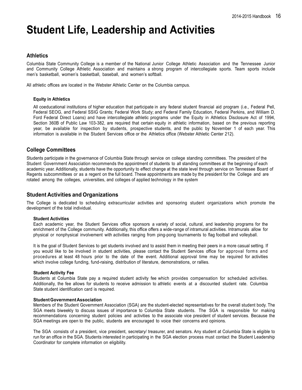## **Student Life, Leadership and Activities**

## **Athletics**

Columbia State Community College is a member of the National Junior College Athletic Association and the Tennessee Junior and Community College Athletic Association and maintains a strong program of intercollegiate sports. Team sports include men's basketball, women's basketball, baseball, and women's softball.

All athletic offices are located in the Webster Athletic Center on the Columbia campus.

#### **Equity in Athletics**

All coeducational institutions of higher education that participate in any federal student financial aid program (i.e., Federal Pell, Federal SEOG, and Federal SSIG Grants; Federal Work Study; and Federal Family Education, Federal Perkins, and William D. Ford Federal Direct Loans) and have intercollegiate athletic programs under the Equity in Athletics Disclosure Act of 1994, Section 360B of Public Law 103-382, are required that certain equity in athletic information, based on the previous reporting year, be available for inspection by students, prospective students, and the public by November 1 of each year. This information is available in the Student Services office or the Athletics office (Webster Athletic Center 212).

## **College Committees**

Students participate in the governance of Columbia State through service on college standing committees. The president of the Student Government Association recommends the appointment of students to all standing committees at the beginning of each academic year. Additionally, students have the opportunity to effect change at the state level through service on Tennessee Board of Regents subcommittees or as a regent on the full board. These appointments are made by the president for the College and are rotated among the colleges, universities, and colleges of applied technology in the system

## **Student Activities and Organizations**

The College is dedicated to scheduling extracurricular activities and sponsoring student organizations which promote the development of the total individual.

#### **Student Activities**

Each academic year, the Student Services office sponsors a variety of social, cultural, and leadership programs for the enrichment of the College community. Additionally, this office offers a wide-range of intramural activities. Intramurals allow for physical or nonphysical involvement with activities ranging from ping-pong tournaments to flag football and volleyball.

It is the goal of Student Services to get students involved and to assist them in meeting their peers in a more casual setting. If you would like to be involved in student activities, please contact the Student Services office for approval forms and procedures at least 48 hours prior to the date of the event. Additional approval time may be required for activities which involve college funding, fund-raising, distribution of literature, demonstrations, or rallies.

#### **Student Activity Fee**

Students at Columbia State pay a required student activity fee which provides compensation for scheduled activities. Additionally, the fee allows for students to receive admission to athletic events at a discounted student rate. Columbia State student identification card is required.

#### **StudentGovernmentAssociation**

Members of the Student Government Association (SGA) are the student-elected representatives for the overall student body. The SGA meets biweekly to discuss issues of importance to Columbia State students. The SGA is responsible for making recommendations concerning student policies and activities to the associate vice president of student services. Because the SGA meetings are open to the public, students are encouraged to voice their concerns and opinions.

The SGA consists of a president, vice president, secretary/ treasurer, and senators. Any student at Columbia State is eligible to run for an office in the SGA. Students interested in participating in the SGA election process must contact the Student Leadership Coordinator for complete information on eligibility.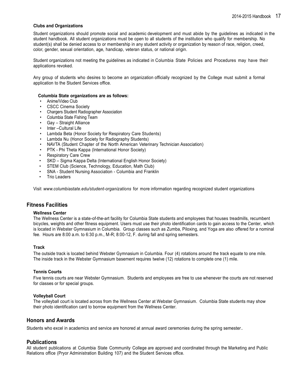#### **Clubs and Organizations**

Student organizations should promote social and academic development and must abide by the guidelines as indicated in the student handbook. All student organizations must be open to all students of the institution who qualify for membership. No student(s) shall be denied access to or membership in any student activity or organization by reason of race, religion, creed, color, gender, sexual orientation, age, handicap, veteran status, or national origin.

Student organizations not meeting the guidelines as indicated in Columbia State Policies and Procedures may have their applications revoked.

Any group of students who desires to become an organization officially recognized by the College must submit a formal application to the Student Services office.

#### **Columbia State organizations are as follows:**

- Anime/Video Club
- CSCC Cinema Society
- Chargers Student Radiographer Association
- Columbia State Fishing Team
- Gay Straight Alliance
- Inter-Cultural Life
- Lambda Beta (Honor Society for Respiratory Care Students)
- Lambda Nu (Honor Society for Radiography Students)
- NAVTA (Student Chapter of the North American Veterinary Technician Association)
- PTK Phi Theta Kappa (International Honor Society)
- Respiratory Care Crew
- SKD Sigma Kappa Delta (International English Honor Society)
- STEM Club (Science, Technology, Education, Math Club)
- SNA Student Nursing Association Columbia and Franklin
- Trio Leaders

Visit *[www.columbiastate.edu/student-organizations](http://www.columbiastate.edu/student-organizations)* for more information regarding recognized student organizations

### **Fitness Facilities**

#### **Wellness Center**

The Wellness Center is a state-of-the-art facility for Columbia State students and employees that houses treadmills, recumbent bicycles, weights and other fitness equipment. Users must use their photo identification cards to gain access to the Center, which is located in Webster Gymnasium in Columbia. Group classes such as Zumba, Piloxing, and Yoga are also offered for a nominal fee. Hours are 8:00 a.m. to 6:30 p.m., M-R; 8:00-12, F. during fall and spring semesters.

#### **Track**

The outside track is located behind Webster Gymnasium in Columbia. Four (4) rotations around the track equate to one mile. The inside track in the Webster Gymnasium basement requires twelve (12) rotations to complete one (1) mile.

#### **Tennis Courts**

Five tennis courts are near Webster Gymnasium. Students and employees are free to use whenever the courts are not reserved for classes or for special groups.

#### **Volleyball Court**

The volleyball court is located across from the Wellness Center at Webster Gymnasium. Columbia State students may show their photo identification card to borrow equipment from the Wellness Center.

## **Honors and Awards**

Students who excel in academics and service are honored at annual award ceremonies during the spring semester.

### **Publications**

All student publications at Columbia State Community College are approved and coordinated through the Marketing and Public Relations office (Pryor Administration Building 107) and the Student Services office.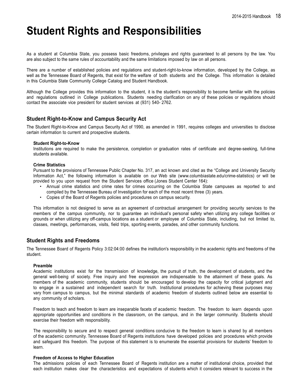## **Student Rights and Responsibilities**

As a student at Columbia State, you possess basic freedoms, privileges and rights guaranteed to all persons by the law. You are also subject to the same rules of accountability and the same limitations imposed by law on all persons.

There are a number of established policies and regulations and student-right-to-know information, developed by the College, as well as the Tennessee Board of Regents, that exist for the welfare of both students and the College. This information is detailed in this Columbia State Community College Catalog and Student Handbook.

Although the College provides this information to the student, it is the student's responsibility to become familiar with the policies and regulations outlined in College publications. Students needing clarification on any of these policies or regulations should contact the associate vice president for student services at (931) 540- 2762.

## **Student Right-to-Know and Campus Security Act**

The Student Right-to-Know and Campus Security Act of 1990, as amended in 1991, requires colleges and universities to disclose certain information to current and prospective students.

#### **Student Right-to-Know**

Institutions are required to make the persistence, completion or graduation rates of certificate and degree-seeking, full-time students available.

#### **Crime Statistics**

Pursuant to the provisions of Tennessee Public Chapter No. 317, an act known and cited as the "College and University Security Information Act," the following information is available on our Web site [\(www.columbiastate.edu/crime-statistics\)](http://www.columbiastate.edu/crime-statistics)) or will be provided to you upon request from the Student Services office (Jones Student Center 164):

- Annual crime statistics and crime rates for crimes occurring on the Columbia State campuses as reported to and compiled by the Tennessee Bureau of Investigation for each of the most recent three (3) years.
- Copies of the Board of Regents policies and procedures on campus security.

This information is not designed to serve as an agreement of contractual arrangement for providing security services to the members of the campus community, nor to guarantee an individual's personal safety when utilizing any college facilities or grounds or when utilizing any off-campus locations as a student or employee of Columbia State, including, but not limited to, classes, meetings, performances, visits, field trips, sporting events, parades, and other community functions.

## **Student Rights and Freedoms**

The Tennessee Board of Regents Policy 3:02:04:00 defines the institution's responsibility in the academic rights and freedoms of the student.

#### **Preamble**

Academic institutions exist for the transmission of knowledge, the pursuit of truth, the development of students, and the general well-being of society. Free inquiry and free expression are indispensable to the attainment of these goals. As members of the academic community, students should be encouraged to develop the capacity for critical judgment and to engage in a sustained and independent search for truth. Institutional procedures for achieving these purposes may vary from campus to campus, but the minimal standards of academic freedom of students outlined below are essential to any community of scholars.

Freedom to teach and freedom to learn are inseparable facets of academic freedom. The freedom to learn depends upon appropriate opportunities and conditions in the classroom, on the campus, and in the larger community. Students should exercise their freedom with responsibility.

The responsibility to secure and to respect general conditions conducive to the freedom to learn is shared by all members of the academic community. Tennessee Board of Regents institutions have developed policies and procedures which provide and safeguard this freedom. The purpose of this statement is to enumerate the essential provisions for students' freedom to learn.

#### **Freedom of Access to Higher Education**

The admissions policies of each Tennessee Board of Regents institution are a matter of institutional choice, provided that each institution makes clear the characteristics and expectations of students which it considers relevant to success in the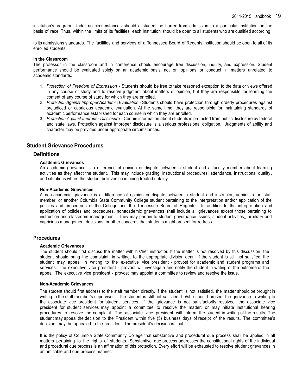institution's program. Under no circumstances should a student be barred from admission to a particular institution on the basis of race. Thus, within the limits of its facilities, each institution should be open to all students who are qualified according

to its admissions standards. The facilities and services of a Tennessee Board of Regents institution should be open to all of its enrolled students.

#### **In the Classroom**

The professor in the classroom and in conference should encourage free discussion, inquiry, and expression. Student performance should be evaluated solely on an academic basis, not on opinions or conduct in matters unrelated to academic standards.

- 1. *Protection of Freedom of Expression* Students should be free to take reasoned exception to the data or views offered in any course of study and to reserve judgment about matters of opinion, but they are responsible for learning the content of any course of study for which they are enrolled.
- 2. *Protection Against Improper Academic Evaluation* Students should have protection through orderly procedures against prejudiced or capricious academic evaluation. At the same time, they are responsible for maintaining standards of academic performance established for each course in which they are enrolled.
- 3. *Protection Against Improper Disclosure*  Certain information about students is protected from public disclosure by federal and state laws. Protection against improper disclosure is a serious professional obligation. Judgments of ability and character may be provided under appropriate circumstances.

## <span id="page-18-0"></span>**StudentGrievance Procedures**

#### **Definitions**

#### **Academic Grievances**

An academic grievance is a difference of opinion or dispute between a student and a faculty member about learning activities as they affect the student. This may include grading, instructional procedures, attendance, instructional quality , and situations where the student believes he is being treated unfairly.

#### **Non-Academic Grievances**

A non-academic grievance is a difference of opinion or dispute between a student and instructor, administrator, staff member, or another Columbia State Community College student pertaining to the interpretation and/or application of the policies and procedures of the College and the Tennessee Board of Regents. In addition to the interpretation and application of policies and procedures, nonacademic grievances shall include all grievances except those pertaining to instruction and classroom management. They may pertain to student governance issues, student activities,, arbitrary and capricious management decisions, or other concerns that students might present for redress.

#### **Procedures**

#### **Academic Grievances**

The student should first discuss the matter with his/her instructor. If the matter is not resolved by this discussion, the student should bring the complaint, in writing, to the appropriate division dean. If the student is still not satisfied, the student may appeal in writing to the executive vice president - provost for academic and student programs and services. The executive vice president - provost will investigate and notify the student in writing of the outcome of the appeal. The executive vice president - provost may appoint a committee to review and resolve the issue.

#### **Non-Academic Grievances**

The student should first address to the staff member directly. If the student is not satisfied, the matter should be brought in writing to the staff member's supervisor. If the student is still not satisfied, he/she should present the grievance in writing to the associate vice president for student services. If the grievance is not satisfactorily resolved, the associate vice president for student services may appoint a committee to resolve the matter; or may initiate institutional hearing procedures to resolve the complaint. The associate vice president will inform the student in writing of the results. The student may appeal the decision to the President within five (5) business days of receipt of the results. The committee's decision may be appealed to the president. The president's decision is final.

It is the policy of Columbia State Community College that substantive and procedural due process shall be applied in all matters pertaining to the rights of students. Substantive due process addresses the constitutional rights of the individual and procedural due process is an affirmation of this protection. Every effort will be exhausted to resolve student grievances in an amicable and due process manner.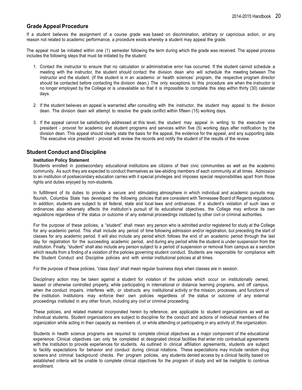## <span id="page-19-0"></span>**Grade Appeal Procedure**

If a student believes the assignment of a course grade was based on discrimination, arbitrary or capricious action, or any reason not related to academic performance, a procedure exists whereby a student may appeal the grade.

The appeal must be initiated within one (1) semester following the term during which the grade was received. The appeal process includes the following steps that must be initiated by the student:

- 1. Contact the instructor to ensure that no calculation or administrative error has occurred. If the student cannot schedule a meeting with the instructor, the student should contact the division dean who will schedule the meeting between The instructor and the student. (If the student is in an academic or health sciences' program, the respective program director should be contacted before contacting the division dean.) The only exceptions to this procedure are when the instructor is no longer employed by the College or is unavailable so that it is impossible to complete this step within thirty (30) calendar days.
- 2. If the student believes an appeal is warranted after consulting with the instructor, the student may appeal to the division dean. The division dean will attempt to resolve the grade conflict within fifteen (15) working days.
- 3. If the appeal cannot be satisfactorily addressed at this level, the student may appeal in writing to the executive vice president - provost for academic and student programs and services within five (5) working days after notification by the division dean. This appeal should clearly state the basis for the appeal, the evidence for the appeal, and any supporting data. The executive vice president - provost will review the records and notify the student of the results of the review.

## **Student Conduct and Discipline**

### **Institution Policy Statement**

Students enrolled in postsecondary educational institutions are citizens of their civic communities as well as the academic community. As such they are expected to conduct themselves as law-abiding members of each community at all times. Admission to an institution of postsecondary education carries with it special privileges and imposes special responsibilities apart from those rights and duties enjoyed by non-students.

In fulfillment of its duties to provide a secure and stimulating atmosphere in which individual and academic pursuits may flourish, Columbia State has developed the following policies that are consistent with Tennessee Board of Regents regulations. In addition, students are subject to all federal, state and local laws and ordinances. If a student's violation of such laws or ordinances also adversely affects the institution's pursuit of its educational objectives, the College may enforce its own regulations regardless of the status or outcome of any external proceedings instituted by other civil or criminal authorities.

For the purpose of these policies, a "student" shall mean any person who is admitted and/or registered for study at the College for any academic period. This shall include any period of time following admission and/or registration, but preceding the start of classes for any academic period. It will also include any period which follows the end of an academic period through the last day for registration for the succeeding academic period, and during any period while the student is under suspension from the institution. Finally, "student" shall also include any person subject to a period of suspension or removal from campus as a sanction which results from a finding of a violation of the policies governing student conduct. Students are responsible for compliance with the Student Conduct and Discipline policies and with similar institutional policies at all times.

For the purpose of these policies, "class days" shall mean regular business days when classes are in session.

Disciplinary action may be taken against a student for violation of the policies which occur on institutionally owned, leased or otherwise controlled property, while participating in international or distance learning programs, and off campus, when the conduct impairs, interferes with, or obstructs any institutional activity or the mission, processes, and functions of the institution. Institutions may enforce their own policies regardless of the status or outcome of any external proceedings instituted in any other forum, including any civil or criminal proceeding.

These policies, and related material incorporated herein by reference, are applicable to student organizations as well as individual students. Student organizations are subject to discipline for the conduct and actions of individual members of the organization while acting in their capacity as members of, or while attending or participating in any activity of, the organization.

Students in health science programs are required to complete clinical objectives as a major component of the educational experience. Clinical objectives can only be completed at designated clinical facilities that enter into contractual agreements with the Institution to provide experiences for students. As outlined in clinical affiliation agreements, students are subject to facility expectations for behavior and conduct during clinical rotations. These expectations may include random drug screens and criminal background checks. Per program policies, any students denied access by a clinical facility based on established criteria will be unable to complete clinical objectives for the program of study and will be ineligible to continue enrollment.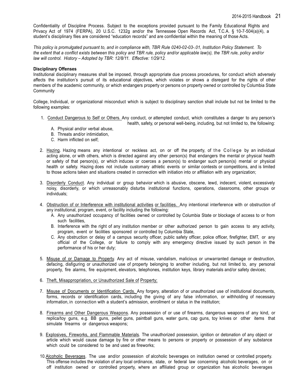Confidentiality of Discipline Process. Subject to the exceptions provided pursuant to the Family Educational Rights and Privacy Act of 1974 (FERPA), 20 U.S.C. 1232g and/or the Tennessee Open Records Act, T.C.A. § 10-7-504(a)(4), a student's disciplinary files are considered "education records" and are confidential within the meaning of those Acts.

*This policy is promulgated pursuant to, and in compliance with, TBR Rule 0240-02-03-.01, Institution Policy Statement. To the extent that a conflict exists between this policy and TBR rule, policy and/or applicable law(s), the TBR rule, policy and/or law will control. History – Adopted by TBR: 12/8/11. Effective: 1/29/12.*

#### **Disciplinary Offenses**

Institutional disciplinary measures shall be imposed, through appropriate due process procedures, for conduct which adversely affects the institution's pursuit of its educational objectives, which violates or shows a disregard for the rights of other members of the academic community, or which endangers property or persons on property owned or controlled by Columbia State **Community** 

College, Individual, or organizational misconduct which is subject to disciplinary sanction shall include but not be limited to the following examples:

- 1. Conduct Dangerous to Self or Others. Any conduct, or attempted conduct, which constitutes a danger to any person's health, safety, or personal well-being, including, but not limited to, the following:
	- A. Physical and/or verbal abuse,
	- B. Threats and/or intimidation,
	- C. Harm inflicted on self;
- 2. Hazing. Hazing means any intentional or reckless act, on or off the property, of the College by an individual acting alone, or with others, which is directed against any other person(s) that endangers the mental or physical health or safety of that person(s), or which induces or coerces a person(s) to endanger such person(s) mental or physical health or safety. Hazing does not include customary athletic events or similar contests or competitions, and is limited to those actions taken and situations created in connection with initiation into or affiliation with any organization;
- 3. Disorderly Conduct. Any individual or group behavior which is abusive, obscene, lewd, indecent, violent, excessively noisy, disorderly, or which unreasonably disturbs institutional functions, operations, classrooms, other groups or individuals;
- 4. Obstruction of or Interference with institutional activities or facilities. Any intentional interference with or obstruction of any institutional, program, event, or facility including the following:
	- A. Any unauthorized occupancy of facilities owned or controlled by Columbia State or blockage of access to or from such facilities.
	- B. Interference with the right of any institution member or other authorized person to gain access to any activity, program, event or facilities sponsored or controlled by Columbia State,
	- C. Any obstruction or delay of a campus security officer, public safety officer, police officer, firefighter, EMT, or any official of the College, or failure to comply with any emergency directive issued by such person in the performance of his or her duty;
- 5. Misuse of or Damage to Property. Any act of misuse, vandalism, malicious or unwarranted damage or destruction, defacing, disfiguring or unauthorized use of property belonging to another including, but not limited to, any personal property, fire alarms, fire equipment, elevators, telephones, institution keys, library materials and/or safety devices;
- 6. Theft, Misappropriation, or Unauthorized Sale of Property;
- 7. Misuse of Documents or Identification Cards. Any forgery, alteration of or unauthorized use of institutional documents, forms, records or identification cards, including the giving of any false information, or withholding of necessary information, in connection with a student's admission, enrollment or status in the institution;
- 8. Firearms and Other Dangerous Weapons. Any possession of or use of firearms, dangerous weapons of any kind, or replica/toy guns, e.g. BB guns, pellet guns, paintball guns, water guns, cap guns, toy knives or other items that simulate firearms or dangerous weapons;
- 9. Explosives, Fireworks, and Flammable Materials. The unauthorized possession, ignition or detonation of any object or article which would cause damage by fire or other means to persons or property or possession of any substance which could be considered to be and used as fireworks;
- 10.Alcoholic Beverages. The use and/or possession of alcoholic beverages on institution owned or controlled property. This offense includes the violation of any local ordinance, state, or federal law concerning alcoholic beverages, on or off institution owned or controlled property, where an affiliated group or organization has alcoholic beverages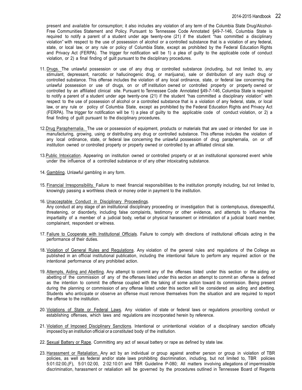present and available for consumption; it also includes any violation of any term of the Columbia State Drug/Alcohol-Free Communities Statement and Policy. Pursuant to Tennessee Code Annotated §49-7-146, Columbia State is required to notify a parent of a student under age twenty-one (21) if the student "has committed a disciplinary violation" with respect to the use of possession of alcohol or a controlled substance that is a violation of any federal, state, or local law, or any rule or policy of Columbia State, except as prohibited by the Federal Education Rights and Privacy Act (FERPA). The trigger for notification will be 1) a plea of guilty to the applicable code of conduct violation, or 2) a final finding of guilt pursuant to the disciplinary procedures.

- 11. Drugs. The unlawful possession or use of any drug or controlled substance (including, but not limited to, any stimulant, depressant, narcotic or hallucinogenic drug, or marijuana), sale or distribution of any such drug or controlled substance. This offense includes the violation of any local ordinance, state, or federal law concerning the unlawful possession or use of drugs, on or off institution owned or controlled property or property owned or controlled by an affiliated clinical site. Pursuant to Tennessee Code Annotated §49-7-146, Columbia State is required to notify a parent of a student under age twenty-one (21) if the student "has committed a disciplinary violation" with respect to the use of possession of alcohol or a controlled substance that is a violation of any federal, state, or local law, or any rule or policy of Columbia State, except as prohibited by the Federal Education Rights and Privacy Act (FERPA). The trigger for notification will be 1) a plea of guilty to the applicable code of conduct violation, or 2) a final finding of guilt pursuant to the disciplinary procedures.
- 12.Drug Paraphernalia. The use or possession of equipment, products or materials that are used or intended for use in manufacturing, growing, using or distributing any drug or controlled substance. This offense includes the violation of any local ordinance, state, or federal law concerning the unlawful possession of drug paraphernalia, on or off institution owned or controlled property or property owned or controlled by an affiliated clinical site.
- 13.Public Intoxication. Appearing on institution owned or controlled property or at an institutional sponsored event while under the influence of a controlled substance or of any other intoxicating substance.
- 14. Gambling. Unlawful gambling in any form.
- 15. Financial Irresponsibility. Failure to meet financial responsibilities to the institution promptly including, but not limited to, knowingly passing a worthless check or money order in payment to the institution.
- 16. Unacceptable Conduct in Disciplinary Proceedings.

Any conduct at any stage of an institutional disciplinary proceeding or investigation that is contemptuous, disrespectful, threatening, or disorderly, including false complaints, testimony or other evidence, and attempts to influence the impartiality of a member of a judicial body, verbal or physical harassment or intimidation of a judicial board member, complainant, respondent or witness.

- 17. Failure to Cooperate with Institutional Officials. Failure to comply with directions of institutional officials acting in the performance of their duties.
- 18. Violation of General Rules and Regulations. Any violation of the general rules and regulations of the College as published in an official institutional publication, including the intentional failure to perform any required action or the intentional performance of any prohibited action.
- 19. Attempts, Aiding and Abetting. Any attempt to commit any of the offenses listed under this section or the aiding or abetting of the commission of any of the offenses listed under this section an attempt to commit an offense is defined as the intention to commit the offense coupled with the taking of some action toward its commission. Being present during the planning or commission of any offense listed under this section will be considered as aiding and abetting. Students who anticipate or observe an offense must remove themselves from the situation and are required to report the offense to the institution.
- 20. Violations of State or Federal Laws. Any violation of state or federal laws or regulations proscribing conduct or establishing offenses, which laws and regulations are incorporated herein by reference.
- 21. Violation of Imposed Disciplinary Sanctions. Intentional or unintentional violation of a disciplinary sanction officially imposed by an institution official or a constituted body of the institution.
- 22. Sexual Battery or Rape. Committing any act of sexual battery or rape as defined by state law.
- 23. Harassment or Retaliation. Any act by an individual or group against another person or group in violation of TBR policies, as well as federal and/or state laws prohibiting discrimination, including, but not limited to, TBR policies 5:01:02:00,(F), 5:01:02:00, 2:02:10:01 and TBR Guideline P-080; All matters involving allegations of impermissible discrimination, harassment or retaliation will be governed by the procedures outlined in Tennessee Board of Regents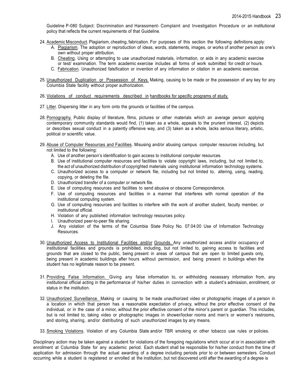Guideline P-080 Subject: Discrimination and Harassment- Complaint and Investigation Procedure or an institutional policy that reflects the current requirements of that Guideline.

- 24. AcademicMisconduct. Plagiarism, cheating, fabrication. For purposes of this section the following definitions apply:
	- A. Plagiarism. The adoption or reproduction of ideas, words, statements, images, or works of another person as one's own without proper attribution.
	- B. Cheating. Using or attempting to use unauthorized materials, information, or aids in any academic exercise or test/ examination. The term academic exercise includes all forms of work submitted for credit or hours.
	- C. Fabrication. Unauthorized falsification or invention of any information or citation in an academic exercise.
- 25. Unauthorized Duplication or Possession of Keys. Making, causing to be made or the possession of any key for any Columbia State facility without proper authorization.

#### 26. Violations of conduct requirements described in handbooks for specific programs of study.

- 27. Litter. Dispersing litter in any form onto the grounds or facilities of the campus.
- 28. Pornography. Public display of literature, films, pictures or other materials which an average person applying contemporary community standards would find, (1) taken as a whole, appeals to the prurient interest, (2) depicts or describes sexual conduct in a patently offensive way, and (3) taken as a whole, lacks serious literary, artistic, political or scientific value.
- 29. Abuse of Computer Resources and Facilities. Misusing and/or abusing campus computer resources including, but not limited to the following:
	- A. Use of another person's identification to gain access to institutional computer resources.
	- B. Use of institutional computer resources and facilities to violate copyright laws, including, but not limited to, the act of unauthorized distribution of copyrighted materials using institutional information technology systems.
	- C. Unauthorized access to a computer or network file, including but not limited to, altering, using, reading, copying, or deleting the file.
	- D. Unauthorized transfer of a computer or network file.
	- E. Use of computing resources and facilities to send abusive or obscene Correspondence.
	- F. Use of computing resources and facilities in a manner that interferes with normal operation of the institutional computing system.
	- G. Use of computing resources and facilities to interfere with the work of another student, faculty member, or institutional official.
	- H. Violation of any published information technology resources policy.
	- I. Unauthorized peer-to-peer file sharing.
	- J. Any violation of the terms of the Columbia State Policy No. 07:04:00 Use of Information Technology Resources.
- 30. Unauthorized Access to Institutional Facilities and/or Grounds. Any unauthorized access and/or occupancy of institutional facilities and grounds is prohibited, including, but not limited to, gaining access to facilities and grounds that are closed to the public, being present in areas of campus that are open to limited guests only, being present in academic buildings after hours without permission, and being present in buildings when the student has no legitimate reason to be present.
- 31. Providing False Information. Giving any false information to, or withholding necessary information from, any institutional official acting in the performance of his/her duties in connection with a student's admission, enrollment, or status in the institution.
- 32. Unauthorized Surveillance. Making or causing to be made unauthorized video or photographic images of a person in a location in which that person has a reasonable expectation of privacy, without the prior effective consent of the individual, or in the case of a minor, without the prior effective consent of the minor's parent or guardian. This includes, but is not limited to, taking video or photographic images in shower/locker rooms and men's or women's restrooms, and storing, sharing, and/or distributing of such unauthorized images by any means.
- 33. Smoking Violations. Violation of any Columbia State and/or TBR smoking or other tobacco use rules or policies.

Disciplinary action may be taken against a student for violations of the foregoing regulations which occur at or in association with enrollment at Columbia State for any academic period. Each student shall be responsible for his/her conduct from the time of application for admission through the actual awarding of a degree including periods prior to or between semesters. Conduct occurring while a student is registered or enrolled at the institution, but not discovered until after the awarding of a degree is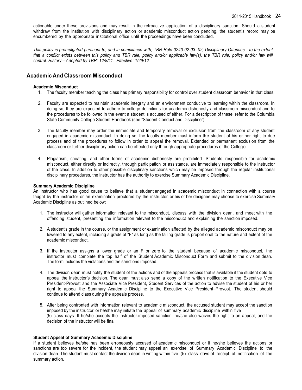actionable under these provisions and may result in the retroactive application of a disciplinary sanction. Should a student withdraw from the institution with disciplinary action or academic misconduct action pending, the student's record may be encumbered by the appropriate institutional office until the proceedings have been concluded.

*This policy is promulgated pursuant to, and in compliance with, TBR Rule 0240-02-03-.02, Disciplinary Offenses. To the extent that a conflict exists between this policy and TBR rule, policy and/or applicable law(s), the TBR rule, policy and/or law will control. History – Adopted by TBR: 12/8/11. Effective: 1/29/12.*

## **Academic And Classroom Misconduct**

#### **Academic Misconduct**

- 1. The faculty member teaching the class has primary responsibility for control over student classroom behavior in that class.
- 2. Faculty are expected to maintain academic integrity and an environment conducive to learning within the classroom. In doing so, they are expected to adhere to college definitions for academic dishonesty and classroom misconduct and to the procedures to be followed in the event a student is accused of either. For a description of these, refer to the Columbia State Community College Student Handbook (see "Student Conduct and Discipline").
- 3. The faculty member may order the immediate and temporary removal or exclusion from the classroom of any student engaged in academic misconduct. In doing so, the faculty member must inform the student of his or her right to due process and of the procedures to follow in order to appeal the removal. Extended or permanent exclusion from the classroom or further disciplinary action can be effected only through appropriate procedures of the College.
- 4. Plagiarism, cheating, and other forms of academic dishonesty are prohibited. Students responsible for academic misconduct, either directly or indirectly, through participation or assistance, are immediately responsible to the instructor of the class. In addition to other possible disciplinary sanctions which may be imposed through the regular institutional disciplinary procedures, the instructor has the authority to exercise Summary Academic Discipline.

#### **Summary Academic Discipline**

An instructor who has good cause to believe that a student engaged in academic misconduct in connection with a course taught by the instructor or an examination proctored by the instructor, or his or her designee may choose to exercise Summary Academic Discipline as outlined below:

- 1. The instructor will gather information relevant to the misconduct, discuss with the division dean, and meet with the offending student, presenting the information relevant to the misconduct and explaining the sanction imposed.
- 2. A student's grade in the course, or the assignment or examination affected by the alleged academic misconduct may be lowered to any extent, including a grade of "F" as long as the failing grade is proportional to the nature and extent of the academic misconduct.
- 3. If the instructor assigns a lower grade or an F or zero to the student because of academic misconduct, the instructor must complete the top half of the Student Academic Misconduct Form and submit to the division dean. The form includes the violations and the sanctions imposed.
- 4. The division dean must notify the student of the actions and of the appeals process that is available if the student opts to appeal the instructor's decision. The dean must also send a copy of the written notification to the Executive Vice President-Provost and the Associate Vice President, Student Services of the action to advise the student of his or her right to appeal the Summary Academic Discipline to the Executive Vice President–Provost. The student should continue to attend class during the appeals process.
- 5. After being confronted with information relevant to academic misconduct, the accused student may accept the sanction imposed by the instructor, or he/she may initiate the appeal of summary academic discipline within five (5) class days. If he/she accepts the instructor-imposed sanction, he/she also waives the right to an appeal, and the decision of the instructor will be final.

#### **Student Appeal of Summary Academic Discipline**

If a student believes he/she has been erroneously accused of academic misconduct or if he/she believes the actions or sanctions are too severe for the incident, the student may appeal an exercise of Summary Academic Discipline to the division dean. The student must contact the division dean in writing within five (5) class days of receipt of notification of the summary action.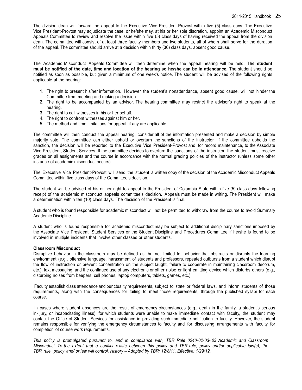The division dean will forward the appeal to the Executive Vice President-Provost within five (5) class days. The Executive Vice President-Provost may adjudicate the case, or he/she may, at his or her sole discretion, appoint an Academic Misconduct Appeals Committee to review and resolve the issue within five (5) class days of having received the appeal from the division dean. The committee will consist of at least three faculty members and two students, all of whom shall serve for the duration of the appeal. The committee should arrive at a decision within thirty (30) class days, absent good cause.

The Academic Misconduct Appeals Committee will then determine when the appeal hearing will be held. T**he student**  must be notified of the date, time and location of the hearing so he/she can be in attendance. The student should be notified as soon as possible, but given a minimum of one week's notice. The student will be advised of the following rights applicable at the hearing:

- 1. The right to present his/her information. However, the student's nonattendance, absent good cause, will not hinder the Committee from meeting and making a decision.
- 2. The right to be accompanied by an advisor. The hearing committee may restrict the advisor's right to speak at the hearing.
- 3. The right to call witnesses in his or her behalf.
- 4. The right to confront witnesses against him or her.
- 5. The method and time limitations for appeal, if any are applicable.

The committee will then conduct the appeal hearing, consider all of the information presented and make a decision by simple majority vote. The committee can either uphold or overturn the sanctions of the instructor. If the committee upholds the sanction, the decision will be reported to the Executive Vice President-Provost and, for record maintenance, to the Associate Vice President, Student Services. If the committee decides to overturn the sanctions of the instructor, the student must receive grades on all assignments and the course in accordance with the normal grading policies of the instructor (unless some other instance of academic misconduct occurs).

The Executive Vice President-Provost will send the student a written copy of the decision of the Academic Misconduct Appeals Committee within five class days of the Committee's decision.

The student will be advised of his or her right to appeal to the President of Columbia State within five (5) class days following receipt of the academic misconduct appeals committee's decision. Appeals must be made in writing. The President will make a determination within ten (10) class days. The decision of the President is final.

A student who is found responsible for academic misconduct will not be permitted to withdraw from the course to avoid Summary Academic Discipline.

A student who is found responsible for academic misconduct may be subject to additional disciplinary sanctions imposed by the Associate Vice President, Student Services or the Student Discipline and Procedures Committee if he/she is found to be involved in multiple incidents that involve other classes or other students.

#### **Classroom Misconduct**

Disruptive behavior in the classroom may be defined as, but not limited to, behavior that obstructs or disrupts the learning environment (e.g., offensive language, harassment of students and professors, repeated outbursts from a student which disrupt the flow of instruction or prevent concentration on the subject taught, failure to cooperate in maintaining classroom decorum, etc.), text messaging, and the continued use of any electronic or other noise or light emitting device which disturbs others (e.g., disturbing noises from beepers, cell phones, laptop computers, tablets, games, etc.).

Faculty establish class attendance and punctuality requirements, subject to state or federal laws, and inform students of those requirements, along with the consequences for failing to meet those requirements, through the published syllabi for each course.

In cases where student absences are the result of emergency circumstances (e.g., death in the family, a student's serious in- jury, or incapacitating illness), for which students were unable to make immediate contact with faculty, the student may contact the Office of Student Services for assistance in providing such immediate notification to faculty. However, the student remains responsible for verifying the emergency circumstances to faculty and for discussing arrangements with faculty for completion of course work requirements.

*This policy is promulgated pursuant to, and in compliance with, TBR Rule 0240-02-03-.03 Academic and Classroom* Misconduct. To the extent that a conflict exists between this policy and TBR rule, policy and/or applicable law(s), the *TBR rule, policy and/ or law will control. History – Adopted by TBR: 12/8/11. Effective: 1/29/12.*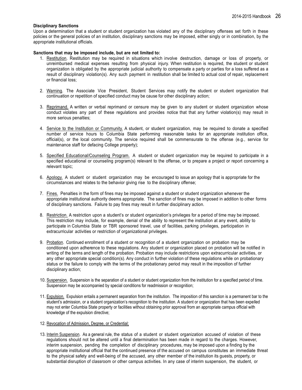#### **Disciplinary Sanctions**

Upon a determination that a student or student organization has violated any of the disciplinary offenses set forth in these policies or the general policies of an institution, disciplinary sanctions may be imposed, either singly or in combination, by the appropriate institutional officials.

#### **Sanctions that may be imposed include, but are not limited to:**

- 1. Restitution. Restitution may be required in situations which involve destruction, damage or loss of property, or unreimbursed medical expenses resulting from physical injury. When restitution is required, the student or student organization is obligated by the appropriate judicial authority to compensate a party or parties for a loss suffered as a result of disciplinary violation(s). Any such payment in restitution shall be limited to actual cost of repair, replacement or financial loss;
- 2. Warning. The Associate Vice President, Student Services may notify the student or student organization that continuation or repetition of specified conduct may be cause for other disciplinary action;
- 3. Reprimand. A written or verbal reprimand or censure may be given to any student or student organization whose conduct violates any part of these regulations and provides notice that that any further violation(s) may result in more serious penalties;
- 4. Service to the Institution or Community. A student, or student organization, may be required to donate a specified number of service hours to Columbia State performing reasonable tasks for an appropriate institution office, official(s), or the local community. The service required shall be commensurate to the offense (e.g., service for maintenance staff for defacing College property);
- 5. Specified Educational/Counseling Program. A student or student organization may be required to participate in a specified educational or counseling program(s) relevant to the offense, or to prepare a project or report concerning a relevant topic;
- 6. Apology. A student or student organization may be encouraged to issue an apology that is appropriate for the circumstances and relates to the behavior giving rise to the disciplinary offense;
- 7. Fines. Penalties in the form of fines may be imposed against a student or student organization whenever the appropriate institutional authority deems appropriate. The sanction of fines may be imposed in addition to other forms of disciplinary sanctions. Failure to pay fines may result in further disciplinary action.
- 8. Restriction. A restriction upon a student's or student organization's privileges for a period of time may be imposed. This restriction may include, for example, denial of the ability to represent the institution at any event, ability to participate in Columbia State or TBR sponsored travel, use of facilities, parking privileges, participation in extracurricular activities or restriction of organizational privileges.
- 9. Probation. Continued enrollment of a student or recognition of a student organization on probation may be conditioned upon adherence to these regulations. Any student or organization placed on probation will be notified in writing of the terms and length of the probation. Probation may include restrictions upon extracurricular activities, or any other appropriate special condition(s). Any conduct in further violation of these regulations while on probationary status or the failure to comply with the terms of the probationary period may result in the imposition of further disciplinary action;
- 10. Suspension. Suspension is the separation of a student or student organization from the institution for a specified period of time. Suspension may be accompanied by special conditions for readmission or recognition;
- 11. Expulsion. Expulsion entails a permanent separation from the institution. The imposition of this sanction is a permanent bar to the student's admission, or a student organization's recognition to the institution. A student or organization that has been expelled may not enter Columbia State property or facilities without obtaining prior approval from an appropriate campus official with knowledge of the expulsion directive;
- 12. Revocation of Admission, Degree, or Credential;
- 13. Interim Suspension. As a general rule, the status of a student or student organization accused of violation of these regulations should not be altered until a final determination has been made in regard to the charges. However, interim suspension, pending the completion of disciplinary procedures, may be imposed upon a finding by the appropriate institutional official that the continued presence of the accused on campus constitutes an immediate threat to the physical safety and well-being of the accused, any other member of the institution its guests, property, or substantial disruption of classroom or other campus activities. In any case of interim suspension, the student, or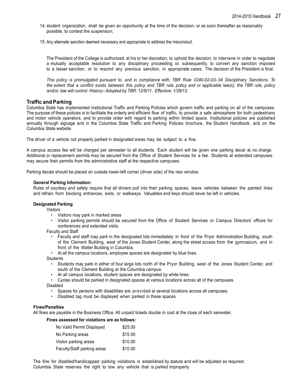- 14. student organization, shall be given an opportunity at the time of the decision, or as soon thereafter as reasonably possible, to contest the suspension;
- 15. Any alternate sanction deemed necessary and appropriate to address the misconduct.

The President of the College is authorized, at his or her discretion, to uphold the decision, to intervene in order to negotiate a mutually acceptable resolution to any disciplinary proceeding, or, subsequently, to convert any sanction imposed to a lesser sanction, or to rescind any previous sanction, in appropriate cases. The decision of the President is final.

*This policy is promulgated pursuant to, and in compliance with, TBR Rule 0240-02-03-.04 Disciplinary Sanctions. To* the extent that a conflict exists between this policy and TBR rule, policy and or applicable law(s), the TBR rule, policy *and/or law will control. History– Adopted by TBR: 12/8/11. Effective: 1/29/12.*

### **Traffic and Parking**

Columbia State has implemented institutional Traffic and Parking Policies which govern traffic and parking on all of the campuses. The purpose of these policies is to facilitate the orderly and efficient flow of traffic, to provide a safe atmosphere for both pedestrians and motor vehicle operators, and to provide order with regard to parking within limited space. Institutional policies are published annually through signage and in the Columbia State Traffic and Parking Policies brochure, the Student Handbook, and on the Columbia State website.

The driver of a vehicle not properly parked in designated areas may be subject to a fine.

A campus access fee will be charged per semester to all students. Each student will be given one parking decal at no charge. Additional or replacement permits may be secured from the Office of Student Services for a fee. Students at extended campuses may secure their permits from the administrative staff at the respective campuses.

Parking decals should be placed on outside lower-left corner (driver side) of the rear window.

#### **General Parking Information:**

Rules of courtesy and safety require that all drivers pull into their parking spaces, leave vehicles between the painted lines and refrain from blocking entrances, exits, or walkways. Valuables and keys should never be left in vehicles.

#### **Designated Parking**

Visitors

- Visitors may park in marked areas
- Visitor parking permits should be secured from the Office of Student Services or Campus Directors' offices for conferences and extended visits.

Faculty and Staff

- Faculty and staff may park in the designated lots immediately in front of the Pryor Administration Building, south of the Clement Building, west of the Jones Student Center, along the street access from the gymnasium, and in front of the Walter Building in Columbia.
- At all the campus locations, employee spaces are designated by blue lines.

**Students** 

- Students may park in either of four large lots north of the Pryor Building, west of the Jones Student Center, and south of the Clement Building at the Columbia campus.
- At all campus locations, student spaces are designated by white lines.
- Cycles should be parked in designated spaces at various locations across all of the campuses. Disabled

- Spaces for persons with disabilities are provided at several locations across all campuses.
- Disabled tag must be displayed when parked in these spaces.

#### **Fines/Penalties**

All fines are payable in the Business Office. All unpaid tickets double in cost at the close of each semester.

#### **Fines assessed for violations are as follows:**

| No Valid Permit Displayed   | \$25.00 |
|-----------------------------|---------|
| No Parking areas            | \$15.00 |
| Visitor parking areas       | \$10.00 |
| Faculty/Staff parking areas | \$10.00 |

The fine for disabled/handicapped parking violations is established by statute and will be adjusted as required. Columbia State reserves the right to tow any vehicle that is parked improperly.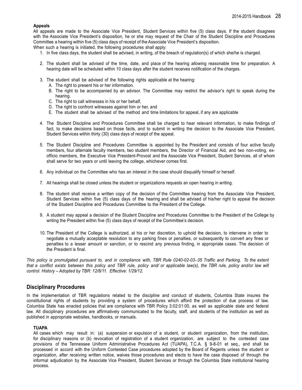#### **Appeals**

All appeals are made to the Associate Vice President, Student Services within five (5) class days. If the student disagrees with the Associate Vice President's disposition, he or she may request of the Chair of the Student Discipline and Procedures Committee a hearing within five (5) class days of receipt of the Associate Vice President's disposition.

When such a hearing is initiated, the following procedures shall apply:

- 1. In five class days, the student shall be advised, in writing, of the breach of regulation(s) of which she/he is charged.
- 2. The student shall be advised of the time, date, and place of the hearing allowing reasonable time for preparation. A hearing date will be scheduled within 10 class days after the student receives notification of the charges.
- 3. The student shall be advised of the following rights applicable at the hearing:
	- A. The right to present his or her information.
	- B. The right to be accompanied by an advisor. The Committee may restrict the advisor's right to speak during the hearing.
	- C. The right to call witnesses in his or her behalf.
	- D. The right to confront witnesses against him or her, and
	- E. The student shall be advised of the method and time limitations for appeal, if any are applicable
- 4. The Student Discipline and Procedures Committee shall be charged to hear relevant information, to make findings of fact, to make decisions based on those facts, and to submit in writing the decision to the Associate Vice President, Student Services within thirty (30) class days of receipt of the appeal.
- 5. The Student Discipline and Procedures Committee is appointed by the President and consists of four active faculty members, four alternate faculty members, two student members, the Director of Financial Aid, and two non-voting, exofficio members, the Executive Vice President-Provost and the Associate Vice President, Student Services, all of whom shall serve for two years or until leaving the college, whichever comes first.
- 6. Any individual on the Committee who has an interest in the case should disqualify himself or herself.
- 7. All hearings shall be closed unless the student or organizations requests an open hearing in writing.
- 8. The student shall receive a written copy of the decision of the Committee hearing from the Associate Vice President, Student Services within five (5) class days of the hearing and shall be advised of his/her right to appeal the decision of the Student Discipline and Procedures Committee to the President of the College.
- 9. A student may appeal a decision of the Student Discipline and Procedures Committee to the President of the College by writing the President within five (5) class days of receipt of the Committee's decision.
- 10. The President of the College is authorized, at his or her discretion, to uphold the decision, to intervene in order to negotiate a mutually acceptable resolution to any parking fines or penalties, or subsequently to convert any fines or penalties to a lesser amount or sanction, or to rescind any previous finding, in appropriate cases. The decision of the President is final.

This policy is promulgated pursuant to, and in compliance with, TBR Rule 0240-02-03-.05 Traffic and Parking. To the extent that a conflict exists between this policy and TBR rule, policy and/ or applicable law(s), the TBR rule, policy and/or law will *control. History – Adopted by TBR: 12/8/11. Effective: 1/29/12.*

## **Disciplinary Procedures**

In the implementation of TBR regulations related to the discipline and conduct of students, Columbia State insures the constitutional rights of students by providing a system of procedures which afford the protection of due process of law. Columbia State has enacted policies that are compliance with TBR Policy 3:02:01:00, as well as applicable state and federal law. All disciplinary procedures are affirmatively communicated to the faculty, staff, and students of the institution as well as published in appropriate websites, handbooks, or manuals.

### **TUAPA**

All cases which may result in: (a) suspension or expulsion of a student, or student organization, from the institution, for disciplinary reasons or (b) revocation of registration of a student organization, are subject to the contested case provisions of the Tennessee Uniform Administrative Procedures Act (TUAPA), T.C.A. § 9-8-01 et seq., and shall be processed in accord with the Uniform Contested Case procedures adopted by the Board of Regents unless the student or organization, after receiving written notice, waives those procedures and elects to have the case disposed of through the informal adjudication by the Associate Vice President, Student Services or through the Columbia State institutional hearing process.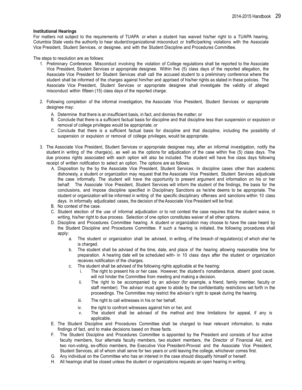#### **Institutional Hearings**

For matters not subject to the requirements of TUAPA or when a student has waived his/her right to a TUAPA hearing, Columbia State vests the authority to hear student/organizational misconduct or traffic/parking violations with the Associate Vice President, Student Services, or designee, and with the Student Discipline and Procedures Committee.

The steps to resolution are as follows:

- 1. Preliminary Conference. Misconduct involving the violation of College regulations shall be reported to the Associate Vice President, Student Services or appropriate designee. Within five (5) class days of the reported allegation, the Associate Vice President for Student Services shall call the accused student to a preliminary conference where the student shall be informed of the charges against him/her and apprised of his/her rights as stated in these policies. The Associate Vice President, Student Services or appropriate designee shall investigate the validity of alleged misconduct within fifteen (15) class days of the reported charge.
- 2. Following completion of the informal investigation, the Associate Vice President, Student Services or appropriate designee may:
	- A. Determine that there is an insufficient basis, in fact, and dismiss the matter; or
	- B. Conclude that there is a sufficient factual basis for discipline and that discipline less than suspension or expulsion or removal of college privileges would be appropriate; or
	- C. Conclude that there is a sufficient factual basis for discipline and that discipline, including the possibility of suspension or expulsion or removal of college privileges, would be appropriate.
- 3. The Associate Vice President, Student Services or appropriate designee may, after an informal investigation, notify the student in writing of the charge(s), as well as the options for adjudication of the case within five (5) class days. The due process rights associated with each option will also be included. The student will have five class days following receipt of written notification to select an option. The options are as follows:
	- A. Disposition by the by the Associate Vice President, Student Services. In discipline cases other than academic dishonesty, a student or organization may request that the Associate Vice President, Student Services adjudicate the case informally. The student will have the opportunity to present argument and information on his or her behalf. The Associate Vice President, Student Services will inform the student of the findings, the basis for the conclusions, and impose discipline specified in Disciplinary Sanctions as he/she deems to be appropriate. The student or organization will be informed in writing of the specific disciplinary offenses and sanctions within 10 class days. In informally adjudicated cases, the decision of the Associate Vice President will be final.
	- B. No contest of the case.
	- C. Student election of the use of informal adjudication or to not contest the case requires that the student waive, in writing, his/her right to due process. Selection of one option constitutes waiver of all other options.
	- D. Discipline and Procedures Committee hearing. A student or organization may choose to have the case heard by the Student Discipline and Procedures Committee. If such a hearing is initiated, the following procedures shall apply:
		- a. The student or organization shall be advised, in writing, of the breach of regulation(s) of which she/ he is charged.
		- b. The student shall be advised of the time, date, and place of the hearing allowing reasonable time for preparation. A hearing date will be scheduled with- in 10 class days after the student or organization receives notification of the charges.
		- c. The student shall be advised of the following rights applicable at the hearing:
			- i. The right to present his or her case. However, the student's nonattendance, absent good cause, will not hinder the Committee from meeting and making a decision.
			- ii. The right to be accompanied by an advisor (for example, a friend, family member, faculty or staff member). The advisor must agree to abide by the confidentiality restrictions set forth in the proceedings. The Committee may restrict the advisor's right to speak during the hearing.
			- iii. The right to call witnesses in his or her behalf,
			- iv. the right to confront witnesses against him or her, and
			- v. The student shall be advised of the method and time limitations for appeal, if any is applicable.
	- E. The Student Discipline and Procedures Committee shall be charged to hear relevant information, to make findings of fact, and to make decisions based on those facts.
	- F. The Student Discipline and Procedures Committee is appointed by the President and consists of four active faculty members, four alternate faculty members, two student members, the Director of Financial Aid, and two non-voting, ex-officio members, the Executive Vice President-Provost and the Associate Vice President, Student Services, all of whom shall serve for two years or until leaving the college, whichever comes first.
	- G. Any individual on the Committee who has an interest in the case should disqualify himself or herself.
	- H. All hearings shall be closed unless the student or organizations requests an open hearing in writing.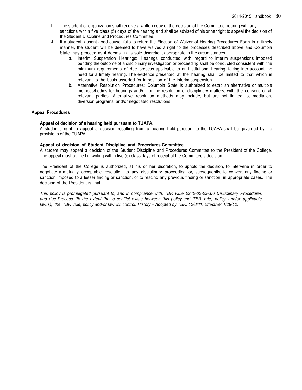- I. The student or organization shall receive a written copy of the decision of the Committee hearing with any sanctions within five class (5) days of the hearing and shall be advised of his or her right to appeal the decision of the Student Discipline and Procedures Committee.
- J. If a student, absent good cause, fails to return the Election of Waiver of Hearing Procedures Form in a timely manner, the student will be deemed to have waived a right to the processes described above and Columbia State may proceed as it deems, in its sole discretion, appropriate in the circumstances.
	- a. Interim Suspension Hearings: Hearings conducted with regard to interim suspensions imposed pending the outcome of a disciplinary investigation or proceeding shall be conducted consistent with the minimum requirements of due process applicable to an institutional hearing, taking into account the need for a timely hearing. The evidence presented at the hearing shall be limited to that which is relevant to the basis asserted for imposition of the interim suspension.
	- b. Alternative Resolution Procedures: Columbia State is authorized to establish alternative or multiple methods/bodies for hearings and/or for the resolution of disciplinary matters, with the consent of all relevant parties. Alternative resolution methods may include, but are not limited to, mediation, diversion programs, and/or negotiated resolutions.

#### **Appeal Procedures**

#### **Appeal of decision of a hearing held pursuant to TUAPA.**

A student's right to appeal a decision resulting from a hearing held pursuant to the TUAPA shall be governed by the provisions of the TUAPA.

#### **Appeal of decision of Student Discipline and Procedures Committee.**

A student may appeal a decision of the Student Discipline and Procedures Committee to the President of the College. The appeal must be filed in writing within five (5) class days of receipt of the Committee's decision.

The President of the College is authorized, at his or her discretion, to uphold the decision, to intervene in order to negotiate a mutually acceptable resolution to any disciplinary proceeding, or, subsequently, to convert any finding or sanction imposed to a lesser finding or sanction, or to rescind any previous finding or sanction, in appropriate cases. The decision of the President is final.

*This policy is promulgated pursuant to, and in compliance with, TBR Rule 0240-02-03-.06 Disciplinary Procedures* and due Process. To the extent that a conflict exists between this policy and TBR rule, policy and/or applicable *law(s), the TBR rule, policy and/or law will control. History – Adopted by TBR: 12/8/11. Effective: 1/29/12.*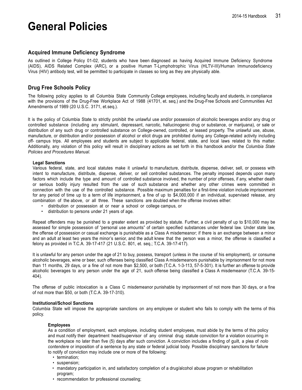## **General Policies**

## **Acquired Immune Deficiency Syndrome**

As outlined in College Policy 01-02, students who have been diagnosed as having Acquired Immune Deficiency Syndrome (AIDS), AIDS Related Complex (ARC), or a positive Human T-Lymphotrophic Virus (HLTV-III)/Human Immunodeficiency Virus (HIV) antibody test, will be permitted to participate in classes so long as they are physically able.

## **Drug Free Schools Policy**

The following policy applies to all Columbia State Community College employees, including faculty and students, in compliance with the provisions of the Drug-Free Workplace Act of 1988 (41701, et. seq.) and the Drug-Free Schools and Communities Act Amendments of 1989 (20 U.S.C. 3171, et.seq.).

It is the policy of Columbia State to strictly prohibit the unlawful use and/or possession of alcoholic beverages and/or any drug or controlled substance (including any stimulant, depressant, narcotic, hallucinogenic drug or substance, or marijuana), or sale or distribution of any such drug or controlled substance on College-owned, controlled, or leased property. The unlawful use, abuse, manufacture, or distribution and/or possession of alcohol or elicit drugs are prohibited during any College-related activity including off- campus trips. All employees and students are subject to applicable federal, state, and local laws related to this matter. Additionally, any violation of this policy will result in disciplinary actions as set forth in this handbook and/or the *Columbia State Policies and Procedures Manual*.

#### **Legal Sanctions**

Various federal, state, and local statutes make it unlawful to manufacture, distribute, dispense, deliver, sell, or possess with intent to manufacture, distribute, dispense, deliver, or sell controlled substances. The penalty imposed depends upon many factors which include the type and amount of controlled substance involved, the number of prior offenses, if any, whether death or serious bodily injury resulted from the use of such substance and whether any other crimes were committed in connection with the use of the controlled substance. Possible maximum penalties for a first-time violation include imprisonment for any period of time up to a term of life imprisonment, a fine of up to \$4,000,000 if an individual, supervised release, any combination of the above, or all three. These sanctions are doubled when the offense involves either:

- distribution or possession at or near a school or college campus, or
- distribution to persons under 21 years of age.

Repeat offenders may be punished to a greater extent as provided by statute. Further, a civil penalty of up to \$10,000 may be assessed for simple possession of "personal use amounts" of certain specified substances under federal law. Under state law, the offense of possession or casual exchange is punishable as a Class A misdemeanor; if there is an exchange between a minor and an adult at least two years the minor's senior, and the adult knew that the person was a minor, the offense is classified a felony as provided in T.C.A. 39-17-417 (21 U.S.C. 801, et. seq.; T.C.A. 39-17-417).

It is unlawful for any person under the age of 21 to buy, possess, transport (unless in the course of his employment), or consume alcoholic beverages, wine or beer, such offenses being classified Class A misdemeanors punishable by imprisonment for not more than 11 months, 29 days, or a fine of not more than \$2,500, or both (T.C.A. 1-3-113, 57-5-301). It is further an offense to provide alcoholic beverages to any person under the age of 21, such offense being classified a Class A misdemeanor (T.C.A. 39-15- 404).

The offense of public intoxication is a Class C misdemeanor punishable by imprisonment of not more than 30 days, or a fine of not more than \$50, or both (T.C.A. 39-17-310).

#### **Institutional/School Sanctions**

Columbia State will impose the appropriate sanctions on any employee or student who fails to comply with the terms of this policy.

#### **Employees**

As a condition of employment, each employee, including student employees, must abide by the terms of this policy and must notify their department head/supervisor of any criminal drug statute conviction for a violation occurring in the workplace no later than five (5) days after such conviction. A conviction includes a finding of guilt, a plea of *nolo contendere* or imposition of a sentence by any state or federal judicial body. Possible disciplinary sanctions for failure to notify of conviction may include one or more of the following:

- termination;
- suspension;
- mandatory participation in, and satisfactory completion of a drug/alcohol abuse program or rehabilitation program;
- recommendation for professional counseling;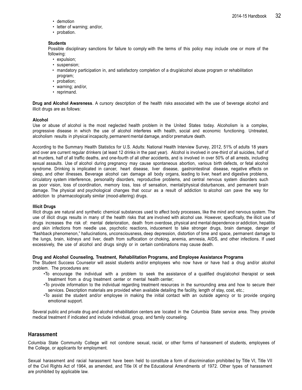- demotion
- letter of warning; and/or,
- probation.

#### **Students**

Possible disciplinary sanctions for failure to comply with the terms of this policy may include one or more of the following:

- expulsion;
- suspension;
- mandatory participation in, and satisfactory completion of a drug/alcohol abuse program or rehabilitation program;
- probation;
- warning; and/or,
- reprimand.

**Drug and Alcohol Awareness**. A cursory description of the health risks associated with the use of beverage alcohol and illicit drugs are as follows:

#### **Alcohol**

Use or abuse of alcohol is the most neglected health problem in the United States today. Alcoholism is a complex, progressive disease in which the use of alcohol interferes with health, social and economic functioning. Untreated, alcoholism results in physical incapacity, permanent mental damage, and/or premature death.

According to the Summary Health Statistics for U.S. Adults: National Health Interview Survey, 2012, 51% of adults 18 years and over are current regular drinkers (at least 12 drinks in the past year). Alcohol is involved in one-third of all suicides, half of all murders, half of all traffic deaths, and one-fourth of all other accidents, and is involved in over 50% of all arrests, including sexual assaults. Use of alcohol during pregnancy may cause spontaneous abortion, various birth defects, or fetal alcohol syndrome. Drinking is implicated in cancer, heart disease, liver disease, gastrointestinal disease, negative effects on sleep, and other illnesses. Beverage alcohol can damage all body organs, leading to liver, heart and digestive problems, circulatory system interference, personality disorders, reproductive problems, and central nervous system disorders such as poor vision, loss of coordination, memory loss, loss of sensation, mental/physical disturbances, and permanent brain damage. The physical and psychological changes that occur as a result of addiction to alcohol can pave the way for addiction to pharmacologically similar (mood-altering) drugs.

#### **Illicit Drugs**

Illicit drugs are natural and synthetic chemical substances used to affect body processes, like the mind and nervous system. The use of illicit drugs results in many of the health risks that are involved with alcohol use. However, specifically, the illicit use of drugs increases the risk of: mental deterioration, death from overdose, physical and mental dependence or addiction, hepatitis and skin infections from needle use, psychotic reactions, inducement to take stronger drugs, brain damage, danger of "flashback phenomenon," hallucinations, unconsciousness, deep depression, distortion of time and space, permanent damage to the lungs, brain, kidneys and liver, death from suffocation or choking, anemia, amnesia, AIDS, and other infections. If used excessively, the use of alcohol and drugs singly or in certain combinations may cause death.

#### **Drug and Alcohol Counseling, Treatment, Rehabilitation Programs, and Employee Assistance Programs**

The Student Success Counselor will assist students and/or employees who now have or have had a drug and/or alcohol problem. The procedures are:

- •To encourage the individual with a problem to seek the assistance of a qualified drug/alcohol therapist or seek treatment from a drug treatment center or mental health center;
- •To provide information to the individual regarding treatment resources in the surrounding area and how to secure their services. Description materials are provided when available detailing the facility, length of stay, cost, etc.;
- •To assist the student and/or employee in making the initial contact with an outside agency or to provide ongoing emotional support.

<span id="page-31-0"></span>Several public and private drug and alcohol rehabilitation centers are located in the Columbia State service area. They provide medical treatment if indicated and include individual, group, and family counseling.

#### **Harassment**

Columbia State Community College will not condone sexual, racial, or other forms of harassment of students, employees of the College, or applicants for employment.

Sexual harassment and racial harassment have been held to constitute a form of discrimination prohibited by Title VI, Title VII of the Civil Rights Act of 1964, as amended, and Title IX of the Educational Amendments of 1972. Other types of harassment are prohibited by applicable law.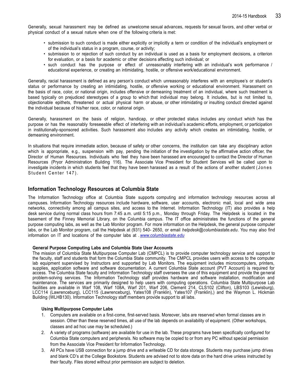Generally, sexual harassment may be defined as unwelcome sexual advances, requests for sexual favors, and other verbal or physical conduct of a sexual nature when one of the following criteria is met:

- submission to such conduct is made either explicitly or implicitly a term or condition of the individual's employment or of the individual's status in a program, course, or activity;
- submission to or rejection of such conduct by an individual is used as a basis for employment decisions, a criterion for evaluation, or a basis for academic or other decisions affecting such individual; or
- such conduct has the purpose or effect of unreasonably interfering with an individual's work performance / educational experience, or creating an intimidating, hostile, or offensive work/educational environment.

Generally, racial harassment is defined as any person's conduct which unreasonably interferes with an employee's or student's status or performance by creating an intimidating, hostile, or offensive working or educational environment. Harassment on the basis of race, color, or national origin, includes offensive or demeaning treatment of an individual, where such treatment is based typically on prejudiced stereotypes of a group to which that individual may belong. It includes, but is not limited to, objectionable epithets, threatened or actual physical harm or abuse, or other intimidating or insulting conduct directed against the individual because of his/her race, color, or national origin.

Generally, harassment on the basis of religion, handicap, or other protected status includes any conduct which has the purpose or has the reasonably foreseeable effect of interfering with an individual's academic efforts, employment, or participation in institutionally-sponsored activities. Such harassment also includes any activity which creates an intimidating, hostile, or demeaning environment.

In situations that require immediate action, because of safety or other concerns, the institution can take any disciplinary action which is appropriate, e.g., suspension with pay, pending the initiation of the investigation by the affirmative action officer, the Director of Human Resources. Individuals who feel they have been harassed are encouraged to contact the Director of Human Resources (Pryor Administration Building 116). The Associate Vice President for Student Services will be called upon to investigate incidents in which students feel that they have been harassed as a result of the actions of another student (Jones Student Center 147).

## **Information Technology Resources at Columbia State**

The Information Technology office at Columbia State supports computing and information technology resources across all campuses. Information Technology resources include hardware, software, user accounts, electronic mail, local and wide area networks, connectivity among all campus sites, and access to the Internet. Information Technology (IT) also provides a help desk service during normal class hours from 7:45 a.m. until 5:15 p.m., Monday through Friday. The Helpdesk is located in the basement of the Finney Memorial Library, on the Columbia campus. The IT office administrates the functions of the general purpose computing labs, as well as the Lab Monitor program. For more information on the Helpdesk, the general purpose computer labs, or the Lab Monitor program, call the Helpdesk at (931) 540- 2650, or email *[helpdesk@columbiastate.edu](mailto:helpdesk@columbiastate.edu)*. You may also find information on IT and locations of the computer labs at . *[www.columbiastate.edu](http://www.columbiastate.edu/)*

#### **General Purpose Computing Labs and Columbia State User Accounts**

The mission of Columbia State Multipurpose Computer Lab (CMPCL) is to provide computer technology service and support to the faculty, staff and students that form the Columbia State community. The CMPCL provides users with access to the computer lab equipment supervised by Instructors and supported by Lab Monitors. The equipment includes microcomputers, printers, supplies, application software and software documentation. A current Columbia State account (PVT Account) is required for access. The Columbia State faculty and Information Technology staff oversees the use of this equipment and provide the general problem-solving services. The Information Technology staff provides hardware and software installation, modification and maintenance. The services are primarily designed to help users with computing operations. Columbia State Multipurpose Lab facilities are available in Warf 108, Warf 108A, Warf 201, Warf 206, Clement 214, CLS102 (Clifton), LBS103 (Lewisburg), LCC114 (Lawrenceburg), LCC115 (Lawrenceburg), Yates108 (Franklin), Yates107 (Franklin),) and the Waymon L. Hickman Building (WLHB130). Information Technology staff members provide support to all labs.

#### **Using Multipurpose Computer Labs**

- 1. Computers are available on a first-come, first-served basis. Moreover, labs are reserved when formal classes are in session. Other than these reserved times, all use of the lab depends on availability of equipment. (Other workshops, classes and ad hoc use may be scheduled.)
- 2. A variety of programs (software) are available for use in the lab. These programs have been specifically configured for Columbia State computers and peripherals. No software may be copied to or from any PC without special permission from the Associate Vice President for Information Technology.
- 3. All PCs have USB connection for a jump drive and a writeable CD for data storage. Students may purchase jump drives and blank CD's at the College Bookstore. Students are advised not to store data on the hard drive unless instructed by their faculty. Files stored without prior permission are subject to deletion.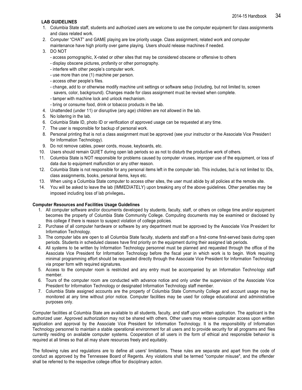## **LAB GUIDELINES**

- 1. Columbia State staff, students and authorized users are welcome to use the computer equipment for class assignments and class related work.
- 2. Computer "CHAT" and GAME playing are low priority usage. Class assignment, related work and computer maintenance have high priority over game playing. Users should release machines if needed.

### 3. DO NOT

- access pornographic, X-rated or other sites that may be considered obscene or offensive to others
- display obscene pictures, profanity or other pornography.
- interfere with other people's computer work.
- use more than one (1) machine per person.
- access other people's files.
- change, add to or otherwise modify machine unit settings or software setup (including, but not limited to, screen savers, color, background). Changes made for class assignment must be revised when complete.
- tamper with machine lock and unlock mechanism.
- bring or consume food, drink or tobacco products in the lab.
- 4. Unattended (under 11) or disruptive (any age) children are not allowed in the lab.
- 5. No loitering in the lab.
- 6. Columbia State ID, photo ID or verification of approved usage can be requested at any time.
- 7. The user is responsible for backup of personal work.
- 8. Personal printing that is not a class assignment must be approved (see your instructor or the Associate Vice Presiden t for Information Technology).
- 9. Do not remove cables, power cords, mouse, keyboards, etc.
- 10. Users should remain QUIET during open lab periods so as not to disturb the productive work of others.
- 11. Columbia State is NOT responsible for problems caused by computer viruses, improper use of the equipment, or loss of data due to equipment malfunction or any other reason.
- 12. Columbia State is not responsible for any personal items left in the computer lab. This includes, but is not limited to: IDs, class assignments, books, personal items, keys etc.
- 13. When using a Columbia State computer to access other sites, the user must abide by all policies at the remote site.
- 14. You will be asked to leave the lab (IMMEDIATELY) upon breaking any of the above guidelines. Other penalties may be imposed including loss of lab privileges**.**

#### **Computer Resources and Facilities Usage Guidelines**

- 1. All computer software and/or documents developed by students, faculty, staff, or others on college time and/or equipment becomes the property of Columbia State Community College. Computing documents may be examined or disclosed by this college if there is reason to suspect violation of college policies.
- 2. Purchase of all computer hardware or software by any department must be approved by the Associate Vice President for Information Technology.
- 3. The computer labs are open to all Columbia State faculty, students and staff on a first-come first-served basis during open periods. Students in scheduled classes have first priority on the equipment during their assigned lab periods.
- 4. All systems to be written by Information Technology personnel must be planned and requested through the office of the Associate Vice President for Information Technology before the fiscal year in which work is to begin. Work requiring minimal programming effort should be requested directly through the Associate Vice President for Information Technology via proper form with required signatures.
- 5. Access to the computer room is restricted and any entry must be accompanied by an Information Technology staff member.
- 6. Tours of the computer room are conducted with advance notice and only under the supervision of the Associate Vice President for Information Technology or designated Information Technology staff member.
- 7. Columbia State assigned accounts are the property of Columbia State Community College and account usage may be monitored at any time without prior notice. Computer facilities may be used for college educational and administrative purposes only.

Computer facilities at Columbia State are available to all students, faculty, and staff upon written application. The applicant is the authorized user. Approved authorization may not be shared with others. Other users may receive computer access upon written application and approval by the Associate Vice President for Information Technology. It is the responsibility of Information Technology personnel to maintain a stable operational environment for all users and to provide security for all programs and files currently residing on available computer systems. Cooperation of all users in the form of ethical and responsible behavior is required at all times so that all may share resources freely and equitably.

The following rules and regulations are to define all users' limitations. These rules are separate and apart from the code of conduct as approved by the Tennessee Board of Regents. Any violations shall be termed "computer misuse", and the offender shall be referred to the respective college office for disciplinary action.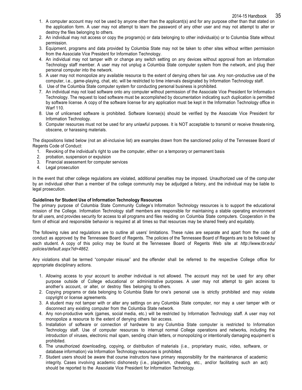- 1. A computer account may not be used by anyone other than the applicant(s) and for any purpose other than that stated on the application form. A user may not attempt to learn the password of any other user and may not attempt to alter or destroy the files belonging to others.
- 2. An individual may not access or copy the program(s) or data belonging to other individual(s) or to Columbia State without permission.
- 3. Equipment, programs and data provided by Columbia State may not be taken to other sites without written permission from the Associate Vice President for Information Technology.
- 4. An individual may not tamper with or change any switch setting on any devices without approval from an Information Technology staff member. A user may not unplug a Columbia State computer system from the network, and plug their personal computer into the network.
- 5. A user may not monopolize any available resource to the extent of denying others fair use. Any non-productive use of the computer, i.e., game-playing, chat, etc. will be restricted to time intervals designated by Information Technology staff.
- 6. Use of the Columbia State computer system for conducting personal business is prohibited.
- 7. An individual may not load software onto any computer without permission of the Associate Vice President for Informatio n Technology. The request to load software must be accomplished by documentation indicating such duplication is permitted by software license. A copy of the software license for any application must be kept in the Information Technology office in Warf 110.
- 8. Use of unlicensed software is prohibited. Software license(s) should be verified by the Associate Vice President for Information Technology.
- 9. Computer resources must not be used for any unlawful purposes. It is NOT acceptable to transmit or receive threate ning, obscene, or harassing materials.

The dispositions listed below (not an all-inclusive list) are examples drawn from the sanctioned policy of the Tennessee Board of Regents Code of Conduct:

- 1. Revoking of the individual's right to use the computer, either on a temporary or permanent basis
- 2. probation, suspension or expulsion
- 3. Financial assessment for computer services
- 4. Legal prosecution

In the event that other college regulations are violated, additional penalties may be imposed. Unauthorized use of the comp uter by an individual other than a member of the college community may be adjudged a felony, and the individual may be liable to legal prosecution.

#### **Guidelines for Student Use of Information Technology Resources**

The primary purpose of Columbia State Community College's Information Technology resources is to support the educational mission of the College. Information Technology staff members are responsible for maintaining a stable operating environment for all users, and provides security for access to all programs and files residing on Columbia State computers. Cooperation in the form of ethical and responsible behavior is required at all times so that resources may be shared freely and equitably.

The following rules and regulations are to outline all users' limitations. These rules are separate and apart from the code of conduct as approved by the Tennessee Board of Regents. The policies of the Tennessee Board of Regents are to be followed by each student. A copy of this policy may be found at the Tennessee Board of Regents Web site at *<http://www.tbr.edu/> policies/default.aspx?id=4862*.

Any violations shall be termed "computer misuse" and the offender shall be referred to the respective College office for appropriate disciplinary actions.

- 1. Allowing access to your account to another individual is not allowed. The account may not be used for any other purpose outside of College educational or administrative purposes. A user may not attempt to gain access to another's account, or alter, or destroy files belonging to others.
- 2. Copying programs or data belonging to Columbia State for one's personal use is strictly prohibited and may violate copyright or license agreements.
- 3. A student may not tamper with or alter any settings on any Columbia State computer, nor may a user tamper with or disconnect any existing computer from the Columbia State network.
- 4. Any non-productive work (games, social media, etc.) will be restricted by Information Technology staff. A user may not monopolize a resource to the extent of denying others fair access.
- 5. Installation of software or connection of hardware to any Columbia State computer is restricted to Information Technology staff. Use of computer resources to interrupt normal College operations and networks, including the introduction of viruses, electronic mail spam, sending chain letters, or monopolizing or intentionally damaging equipment is prohibited.
- 6. The unauthorized downloading, copying, or distribution of materials (i.e., proprietary music, video, software, or database information) via Information Technology resources is prohibited.
- 7. Student users should be aware that course instructors have primary responsibility for the maintenance of academic integrity. Cases involving academic dishonesty (i.e., plagiarism, cheating, etc., and/or facilitating such an act) should be reported to the Associate Vice President for Information Technology.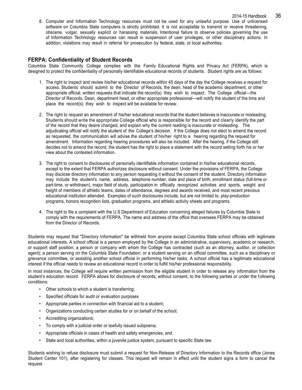8. Computer and Information Technology resources must not be used for any unlawful purpose. Use of unlicensed software on Columbia State computers is strictly prohibited. It is not acceptable to transmit or receive threatening, obscene, vulgar, sexually explicit or harassing materials. Intentional failure to observe policies governing the use of Information Technology resources can result in suspension of user privileges, or other disciplinary actions. In addition, violations may result in referral for prosecution by federal, state, or local authorities.

## **FERPA: Confidentiality of Student Records**

Columbia State Community College complies with the Family Educational Rights and Privacy Act (FERPA), which is designed to protect the confidentiality of personally identifiable educational records of students. Student rights are as follows:

- 1. The right to inspect and review his/her educational records within 45 days of the day the College receives a request for access. Students should submit to the Director of Records, the dean, head of the academic department, or other appropriate official, written requests that indicate the record(s) they wish to inspect. The College official—the Director of Records, Dean, department head, or other appropriate professional—will notify the student of the time and place the record(s) they wish to inspect will be available for review.
- 2. The right to request an amendment of his/her educational records that the student believes is inaccurate or misleading. Students should write the appropriate College official who is responsible for the record and clearly identify the part of the record that they desire changed, and explain why the current reading is inaccurate or misleading. The adjudicating official will notify the student of the College's decision. If the College does not elect to amend the record as requested, the communication will advise the student of his/her right to a hearing regarding the request for amendment. Information regarding hearing procedures will also be included. After the hearing, if the College still decides not to amend the record, the student has the right to place a statement with the record setting forth his or her view about the contested information.
- 3. The right to consent to disclosures of personally identifiable information contained in his/her educational records, except to the extent that FERPA authorizes disclosure without consent. Under the provisions of FERPA, the College may disclose directory information to any person requesting it without the consent of the student. Directory information may include the student's name, address, telephone number, date and place of birth, enrollment status (full-time or part-time, or withdrawn), major field of study, participation in officially recognized activities and sports, weight and height of members of athletic teams, dates of attendance, degrees and awards received, and most recent previous educational institution attended. Examples of such disclosures include, but are not limited to, play-production programs, honors recognition lists, graduation programs, and athletic activity sheets and programs.
- 4. The right to file a complaint with the U.S Department of Education concerning alleged failures by Columbia State to comply with the requirements of FERPA. The name and address of the office that oversees FERPA may be obtained from the Director of Records.

Students may request that "Directory Information" be withheld from anyone except Columbia State school officials with legitimate educational interests. A school official is a person employed by the College in an administrative, supervisory, academic or research, or support staff position; a person or company with whom the College has contracted (such as an attorney, auditor, or collection agent); a person serving on the Columbia State Foundation; or a student serving on an official committee, such as a disciplinary or grievance committee, or assisting another school official in performing his/her tasks. A school official has a legitimate educational interest if the official needs to review an educational record in order to fulfill his/her professional responsibility.

In most instances, the College will require written permission from the eligible student in order to release any information from the student's education record. FERPA allows for disclosure of records, without consent, to the following parties or under the f ollowing conditions:

- Other schools to which a student is transferring;
- Specified officials for audit or evaluation purposes
- Appropriate parties in connection with financial aid to a student;
- Organizations conducting certain studies for or on behalf of the school;
- Accrediting organizations;
- To comply with a judicial order or lawfully issued subpoena;
- Appropriate officials in cases of health and safety emergencies, and
- State and local authorities, within a juvenile justice system, pursuant to specific State law.

Students wishing to refuse disclosure must submit a request for Non-Release of Directory Information to the Records office (Jones Student Center 101), after registering for classes. This request will remain in effect until the student signs a form to cancel the request.

2014-15 Handbook 36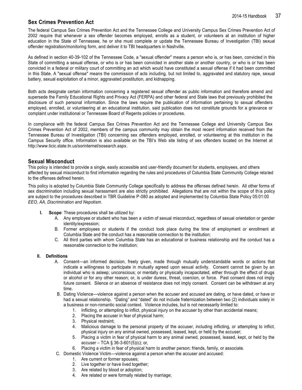## <span id="page-36-0"></span>**Sex Crimes Prevention Act**

The federal Campus Sex Crimes Prevention Act and the Tennessee College and University Campus Sex Crimes Prevention Act of 2002 require that whenever a sex offender becomes employed, enrolls as a student, or volunteers at an institution of higher education in the State of Tennessee, he or she must complete or update the Tennessee Bureau of Investigation (TBI) sexual offender registration/monitoring form, and deliver it to TBI headquarters in Nashville.

As defined in section 40-39-102 of the Tennessee Code, a "sexual offender" means a person who is, or has been, convicted in this State of committing a sexual offense, or who is or has been convicted in another state or another country, or who is or has been convicted in a federal or military court of committing an act which would have constituted a sexual offense if it had been committed in this State. A "sexual offense" means the commission of acts including, but not limited to, aggravated and statutory rape, sexual battery, sexual exploitation of a minor, aggravated prostitution, and kidnapping.

Both acts designate certain information concerning a registered sexual offender as public information and therefore amend and supersede the Family Educational Rights and Privacy Act (FERPA) and other federal and State laws that previously prohibited the disclosure of such personal information. Since the laws require the publication of information pertaining to sexual offenders employed, enrolled, or volunteering at an educational institution, said publication does not constitute grounds for a grievance or complaint under institutional or Tennessee Board of Regents policies or procedures.

In compliance with the federal Campus Sex Crimes Prevention Act and the Tennessee College and University Campus Sex Crimes Prevention Act of 2002, members of the campus community may obtain the most recent information received from the Tennessee Bureau of Investigation (TBI) concerning sex offenders employed, enrolled, or volunteering at this institution in the Campus Security office. Information is also available on the TBI's Web site listing of sex offenders located on the Internet at [http://www.ticic.state.tn.us/sorinternet/sosearch.aspx.](http://www.ticic.state.tn.us/sorinternet/sosearch.aspx)

## **Sexual Misconduct**

This policy is intended to provide a single, easily accessible and user-friendly document for students, employees, and others affected by sexual misconduct to find information regarding the rules and procedures of Columbia State Community College rela ted to the offenses defined herein.

This policy is adopted by Columbia State Community College specifically to address the offenses defined herein. All other forms of sex discrimination including sexual harassment are also strictly prohibited. Allegations that are not within the scope of th is policy are subject to the procedures described in TBR Guideline P-080 as adopted and implemented by Columbia State Policy 05:01:00 *EEO, AA, Discrimination and Nepotism*.

- **I. Scope**: These procedures shall be utilized by:
	- A. Any employee or student who has been a victim of sexual misconduct, regardless of sexual orientation or gender identity/expression;
	- B. Former employees or students if the conduct took place during the time of employment or enrollment at Columbia State and the conduct has a reasonable connection to the institution;
	- C. All third parties with whom Columbia State has an educational or business relationship and the conduct has a reasonable connection to the institution;

#### **II. Definitions**

- A. Consent—an informed decision, freely given, made through mutually understandable words or actions that indicate a willingness to participate in mutually agreed upon sexual activity. Consent cannot be given by an individual who is asleep; unconscious; or mentally or physically incapacitated, either through the effect of drugs or alcohol or for any other reason; or, is under duress, threat, coercion, or force. Past consent does not imply future consent. Silence or an absence of resistance does not imply consent. Consent can be withdrawn at any time.
- B. Dating Violence—violence against a person when the accuser and accused are dating, or have dated, or have or had a sexual relationship. "Dating" and "dated" do not include fraternization between two (2) individuals solely in a business or non-romantic social context. Violence includes, but is not necessarily limited to:
	- 1. Inflicting, or attempting to inflict, physical injury on the accuser by other than accidental means;
	- 2. Placing the accuser in fear of physical harm;
	- 3. Physical restraint;
	- 4. Malicious damage to the personal property of the accuser, including inflicting, or attempting to inflict, physical injury on any animal owned, possessed, leased, kept, or held by the accuser;
	- 5. Placing a victim in fear of physical harm to any animal owned, possessed, leased, kept, or held by the accuser – TCA § 36-3-601(5)(c); or,
	- 6. Placing a victim in fear of physical harm to another person: friends, family, or associate.
- C. Domestic Violence Victim—violence against a person when the accuser and accused:
	- 1. Are current or former spouses;
	- 2. Live together or have lived together;
	- 3. Are related by blood or adoption;
	- 4. Are related or were formally related by marriage;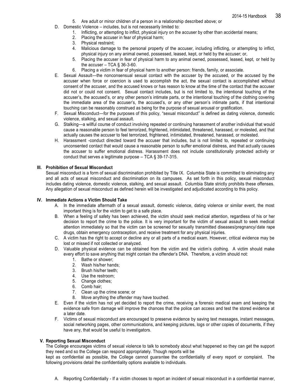- 5. Are adult or minor children of a person in a relationship described above; or
- D. Domestic Violence includes, but is not necessarily limited to:
	- 1. Inflicting, or attempting to inflict, physical injury on the accuser by other than accidental means;
	- 2. Placing the accuser in fear of physical harm;
	- 3. Physical restraint;
	- 4. Malicious damage to the personal property of the accuser, including inflicting, or attempting to inflict, physical injury on any animal owned, possessed, leased, kept, or held by the accuser; or,
	- 5. Placing the accuser in fear of physical harm to any animal owned, possessed, leased, kept, or held by the accuser  $-$  TCA § 36-3-60.
	- 6. Placing a victim in fear of physical harm to another person: friends, family, or associate.
- E. Sexual Assault—the nonconsensual sexual contact with the accuser by the accused, or the accused by the accuser when force or coercion is used to accomplish the act, the sexual contact is accomplished without consent of the accuser, and the accused knows or has reason to know at the time of the contact that the accuser did not or could not consent. Sexual contact includes, but is not limited to, the intentional touching of the accuser's, the accused's, or any other person's intimate parts, or the intentional touching of the clothing covering the immediate area of the accuser's, the accused's, or any other person's intimate parts, if that intentional touching can be reasonably construed as being for the purpose of sexual arousal or gratification.
- F. Sexual Misconduct—for the purposes of this policy, "sexual misconduct" is defined as dating violence, domestic violence, stalking, and sexual assault.
- G. Stalking—a willful course of conduct involving repeated or continuing harassment of another individual that would cause a reasonable person to feel terrorized, frightened, intimidated, threatened, harassed, or molested, and that actually causes the accuser to feel terrorized, frightened, intimidated, threatened, harassed, or molested.
- H. Harassment -conduct directed toward the accuser that includes, but is not limited to, repeated or continuing unconsented contact that would cause a reasonable person to suffer emotional distress, and that actually causes the accuser to suffer emotional distress. Harassment does not include constitutionally protected activity or conduct that serves a legitimate purpose – TCA § 39-17-315.

#### **III. Prohibition of Sexual Misconduct**

Sexual misconduct is a form of sexual discrimination prohibited by Title IX. Columbia State is committed to eliminating any and all acts of sexual misconduct and discrimination on its campuses. As set forth in this policy, sexual misconduct includes dating violence, domestic violence, stalking, and sexual assault. Columbia State strictly prohibits these offenses. Any allegation of sexual misconduct as defined herein will be investigated and adjudicated according to this policy.

#### **IV. Immediate Actions a Victim Should Take**

- A. In the immediate aftermath of a sexual assault, domestic violence, dating violence or similar event, the most important thing is for the victim to get to a safe place.
- B. When a feeling of safety has been achieved, the victim should seek medical attention, regardless of his or her decision to report the crime to the police. It is very important for the victim of sexual assault to seek medical attention immediately so that the victim can be screened for sexually transmitted diseases/pregnancy/ date rape drugs, obtain emergency contraception, and receive treatment for any physical injuries.
- C. A victim has the right to accept or decline any or all parts of a medical exam. However, critical evidence may be lost or missed if not collected or analyzed.
- D. Valuable physical evidence can be obtained from the victim and the victim's clothing. A victim should make every effort to save anything that might contain the offender's DNA. Therefore, a victim should not:
	- 1. Bathe or shower;
	- 2. Wash his/her hands;
	- 3. Brush his/her teeth;
	- 4. Use the restroom;
	- 5. Change clothes;
	- 6. Comb hair;
	- 7. Clean up the crime scene; or
	- 8. Move anything the offender may have touched.
- E. Even if the victim has not yet decided to report the crime, receiving a forensic medical exam and keeping the evidence safe from damage will improve the chances that the police can access and test the stored evidence at a later date.
- F. Victims of sexual misconduct are encouraged to preserve evidence by saving text messages, instant messages, social networking pages, other communications, and keeping pictures, logs or other copies of documents, if they have any, that would be useful to investigators.

### **V. Reporting Sexual Misconduct**

The College encourages victims of sexual violence to talk to somebody about what happened so they can get the support they need and so the College can respond appropriately. Though reports will be

kept as confidential as possible, the College cannot guarantee the confidentiality of every report or complaint. The following provisions detail the confidentiality options available to individuals.

A. Reporting Confidentially - If a victim chooses to report an incident of sexual misconduct in a confidential manner,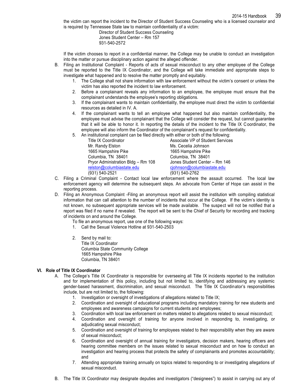the victim can report the incident to the Director of Student Success Counseling who is a licensed counselor and is required by Tennessee State law to maintain confidentiality of a victim:

> Director of Student Success Counseling Jones Student Center – Rm 157 931-540-2572

If the victim chooses to report in a confidential manner, the College may be unable to conduct an investigation into the matter or pursue disciplinary action against the alleged offender.

- B. Filing an Institutional Complaint Reports of acts of sexual misconduct to any other employee of the College must be reported to the Title IX Coordinator, and the College will take immediate and appropriate steps to investigate what happened and to resolve the matter promptly and equitably.
	- 1. The College shall not share information with law enforcement without the victim's consent or unless the victim has also reported the incident to law enforcement.
	- 2. Before a complainant reveals any information to an employee, the employee must ensure that the complainant understands the employee's reporting obligations.
	- 3. If the complainant wants to maintain confidentiality, the employee must direct the victim to confidential resources as detailed in IV. A.
	- 4. If the complainant wants to tell an employee what happened but also maintain confidentiality, the employee must advise the complainant that the College will consider the request, but cannot guarantee that it will be able to honor it. In reporting the details of the incident to the Title IX Coordinator, the employee will also inform the Coordinator of the complainant's request for confidentiality.
	- 5. An institutional complaint can be filed directly with either or both of the following:

| <b>Title IX Coordinator</b>        | Associate VP of Student Services |
|------------------------------------|----------------------------------|
| Mr. Randy Elston                   | Ms. Cecelia Johnson              |
| 1665 Hampshire Pike                | 1665 Hampshire Pike              |
| Columbia, TN 38401                 | Columbia, TN 38401               |
| Pryor Administration Bldg - Rm 108 | Jones Student Center - Rm 146    |
| relston@columbiastate.edu          | cjohnson@columbiastate.edu       |
| (931) 540-2521                     | (931) 540-2762                   |
|                                    |                                  |

- C. Filing a Criminal Complaint Contact local law enforcement where the assault occurred. The local law enforcement agency will determine the subsequent steps. An advocate from Center of Hope can assist in the reporting process.
- D. Filing an Anonymous Complaint -Filing an anonymous report will assist the institution with compiling statistical information that can call attention to the number of incidents that occur at the College. If the victim's identity is not known, no subsequent appropriate services will be made available. The suspect will not be notified that a report was filed if no name if revealed. The report will be sent to the Chief of Security for recording and tracking of incidents on and around the College.
	- To file an anonymous report, use one of the following ways:
	- 1. Call the Sexual Violence Hotline at 931-540-2503
	- 2. Send by mail to: Title IX Coordinator Columbia State Community College 1665 Hampshire Pike Columbia, TN 38401

#### **VI. Role of Title IX Coordinator**

- A. The College's Title IX Coordinator is responsible for overseeing all Title IX incidents reported to the institution and for implementation of this policy, including but not limited to, identifying and addressing any systemic gender-based harassment, discrimination, and sexual misconduct. The Title IX Coordinator's responsibilities include, but are not limited to, the following:
	- 1. Investigation or oversight of investigations of allegations related to Title IX;
	- 2. Coordination and oversight of educational programs including mandatory training for new students and employees and awareness campaigns for current students and employees;
	- 3. Coordination with local law enforcement on matters related to allegations related to sexual misconduct;
	- 4. Coordination and oversight of training for anyone involved in responding to, investigating, or adjudicating sexual misconduct;
	- 5. Coordination and oversight of training for employees related to their responsibility when they are aware of sexual misconduct;
	- 6. Coordination and oversight of annual training for investigators, decision makers, hearing officers and hearing committee members on the issues related to sexual misconduct and on how to conduct an investigation and hearing process that protects the safety of complainants and promotes accountability; and
	- 7. Attending appropriate training annually on topics related to responding to or investigating allegations of sexual misconduct.
- B. The Title IX Coordinator may designate deputies and investigators ("designees") to assist in carrying out any of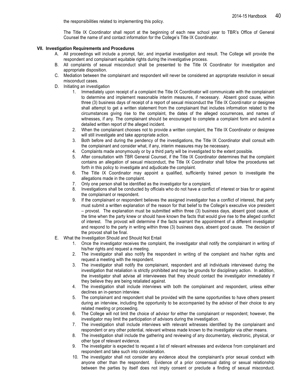the responsibilities related to implementing this policy.

The Title IX Coordinator shall report at the beginning of each new school year to TBR's Office of General Counsel the name of and contact information for the College's Title IX Coordinator.

#### **VII. Investigation Requirements and Procedures**

- A. All proceedings will include a prompt, fair, and impartial investigation and result. The College will provide the respondent and complainant equitable rights during the investigative process.
- B. All complaints of sexual misconduct shall be presented to the Title IX Coordinator for investigation and appropriate disposition.
- C. Mediation between the complainant and respondent will never be considered an appropriate resolution in sexual misconduct cases.
- D. Initiating an investigation
	- 1. Immediately upon receipt of a complaint the Title IX Coordinator will communicate with the complainant to determine and implement reasonable interim measures, if necessary. Absent good cause, within three (3) business days of receipt of a report of sexual misconduct the Title IX Coordinator or designee shall attempt to get a written statement from the complainant that includes information related to the circumstances giving rise to the complaint, the dates of the alleged occurrences, and names of witnesses, if any. The complainant should be encouraged to complete a complaint form and submit a detailed written report of the alleged incident.
	- 2. When the complainant chooses not to provide a written complaint, the Title IX Coordinator or designee will still investigate and take appropriate action.
	- 3. Both before and during the pendency of the investigations, the Title IX Coordinator shall consult with the complainant and consider what, if any, interim measures may be necessary.
	- 4. Complaints made anonymously or by a third party will be investigated to the extent possible.
	- 5. After consultation with TBR General Counsel, if the Title IX Coordinator determines that the complaint contains an allegation of sexual misconduct, the Title IX Coordinator shall follow the procedures set forth in this policy to investigate and adjudicate the complaint.
	- 6. The Title IX Coordinator may appoint a qualified, sufficiently trained person to investigate the allegations made in the complaint.
	- 7. Only one person shall be identified as the investigator for a complaint.
	- 8. Investigations shall be conducted by officials who do not have a conflict of interest or bias for or against the complainant or respondent.
	- 9. If the complainant or respondent believes the assigned investigator has a conflict of interest, that party must submit a written explanation of the reason for that belief to the College's executive vice president – provost. The explanation must be submitted within three (3) business days, absent good cause, of the time when the party knew or should have known the facts that would give rise to the alleged conflict of interest. The provost will determine if the facts warrant the appointment of a different investigator and respond to the party in writing within three (3) business days, absent good cause. The decision of the provost shall be final.
- E. What the Investigation Should and Should Not Entail
	- 1. Once the investigator receives the complaint, the investigator shall notify the complainant in writing of his/her rights and request a meeting.
	- 2. The investigator shall also notify the respondent in writing of the complaint and his/her rights and request a meeting with the respondent.
	- 3. The investigator shall notify the complainant, respondent and all individuals interviewed during the investigation that retaliation is strictly prohibited and may be grounds for disciplinary action. In addition, the investigator shall advise all interviewees that they should contact the investigator immediately if they believe they are being retaliated against.
	- 4. The investigation shall include interviews with both the complainant and respondent, unless either declines an in-person interview.
	- 5. The complainant and respondent shall be provided with the same opportunities to have others present during an interview, including the opportunity to be accompanied by the advisor of their choice to any related meeting or proceeding.
	- 6. The College will not limit the choice of advisor for either the complainant or respondent; however, the investigator may limit the participation of advisors during the investigation.
	- 7. The investigation shall include interviews with relevant witnesses identified by the complainant and respondent or any other potential, relevant witness made known to the investigator via other means.
	- 8. The investigation shall include the gathering and reviewing of any documentary, electronic, physical, or other type of relevant evidence.
	- 9. The investigator is expected to request a list of relevant witnesses and evidence from complainant and respondent and take such into consideration.
	- 10. The investigator shall not consider any evidence about the complainant's prior sexual conduct with anyone other than the respondent. Evidence of a prior consensual dating or sexual relationship between the parties by itself does not imply consent or preclude a finding of sexual misconduct.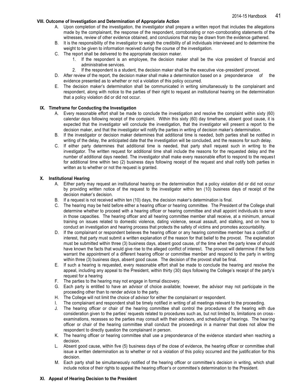#### **VIII. Outcome of Investigation and Determination of Appropriate Action**

- A. Upon completion of the investigation, the investigator shall prepare a written report that includes the allegations made by the complainant, the response of the respondent, corroborating or non-corroborating statements of the witnesses, review of other evidence obtained, and conclusions that may be drawn from the evidence gathered.
- B. It is the responsibility of the investigator to weigh the credibility of all individuals interviewed and to determine the weight to be given to information received during the course of the investigation.
- C. The report shall be delivered to the appropriate decision maker.
	- 1. If the respondent is an employee, the decision maker shall be the vice president of financial and administrative services.
	- 2. If the respondent is a student, the decision maker shall be the executive vice-president/ provost.
- D. After review of the report, the decision maker shall make a determination based on a preponderance of the evidence presented as to whether or not a violation of this policy occurred.
- E. The decision maker's determination shall be communicated in writing simultaneously to the complainant and respondent, along with notice to the parties of their right to request an institutional hearing on the determination that a policy violation did or did not occur.

#### **IX. Timeframe for Conducting the Investigation**

- A. Every reasonable effort shall be made to conclude the investigation and resolve the complaint within sixty (60) calendar days following receipt of the complaint. Within this sixty (60) day timeframe, absent good cause, it is expected that the investigator will conclude the investigation, that the investigator will present a report to the decision maker, and that the investigator will notify the parties in writing of decision maker's determination.
- B. If the investigator or decision maker determines that additional time is needed, both parties shall be notified in writing of the delay, the anticipated date that the investigation will be concluded, and the reasons for such delay.
- C. If either party determines that additional time is needed, that party shall request such in writing to the investigator. The written request for additional time shall include the reasons for the requested delay and the number of additional days needed. The investigator shall make every reasonable effort to respond to the reques t for additional time within two (2) business days following receipt of the request and shall notify both parties in written as to whether or not the request is granted.

#### **X. Institutional Hearing**

- A. Either party may request an institutional hearing on the determination that a policy violation did or did not occur by providing written notice of the request to the investigator within ten (10) business days of receipt of the decision maker's decision.
- B. If a request is not received within ten (10) days, the decision maker's determination is final.
- C. The hearing may be held before either a hearing officer or hearing committee. The President of the College shall determine whether to proceed with a hearing officer or hearing committee and shall appoint individuals to serve in those capacities. The hearing officer and all hearing committee member shall receive, at a minimum, annual training on issues related to domestic violence, dating violence, sexual assault, and stalking, and on how to conduct an investigation and hearing process that protects the safety of victims and promotes accountability.
- D. If the complainant or respondent believes the hearing officer or any hearing committee member has a conflict of interest, that party must submit a written explanation of the reason for that belief to the provost. The explanation must be submitted within three (3) business days, absent good cause, of the time when the party knew of should have known the facts that would give rise to the alleged conflict of interest. The provost will determine if the facts warrant the appointment of a different hearing officer or committee member and respond to the party in writing within three (3) business days, absent good cause. The decision of the provost shall be final.
- E. If such a hearing is requested, every reasonable effort shall be made to conclude the hearing and resolve the appeal, including any appeal to the President, within thirty (30) days following the College's receipt of the party's request for a hearing
- F. The parties to the hearing may not engage in formal discovery.
- G. Each party is entitled to have an advisor of choice available; however, the advisor may not participate in the proceeding other than to render advice to the party.
- H. The College will not limit the choice of advisor for either the complainant or respondent.
- I. The complainant and respondent shall be timely notified in writing of all meetings relevant to the proceeding.
- J. The hearing officer or chair of the hearing committee shall control the procedures of the hearing with due consideration given to the parties' requests related to procedures such as, but not limited to, limitations on cross examinations, recesses so the parties may consult with their advisors, and scheduling of hearings. The hearing officer or chair of the hearing committee shall conduct the proceedings in a manner that does not allow the respondent to directly question the complainant in person.
- K. The hearing officer or hearing committee shall use a preponderance of the evidence standard when reaching a decision.
- L. Absent good cause, within five (5) business days of the close of evidence, the hearing officer or committee shall issue a written determination as to whether or not a violation of this policy occurred and the justification for this decision.
- M. Each party shall be simultaneously notified of the hearing officer or committee's decision in writing, which shall include notice of their rights to appeal the hearing officer's or committee's determination to the President.

#### **XI. Appeal of Hearing Decision to the President**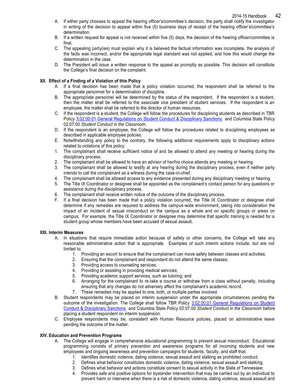- A. If either party chooses to appeal the hearing officer's/committee's decision, the party shall notify the investigator in writing of the decision to appeal within five (5) business days of receipt of the hearing officer's/committee's determination.
- B. If a written request for appeal is not received within five (5) days, the decision of the hearing officer/committee is final.
- C. The appealing party(ies) must explain why it is believed the factual information was incomplete, the analysis of the facts was incorrect, and/or the appropriate legal standard was not applied, and how this would change the determination in the case.
- D. The President will issue a written response to the appeal as promptly as possible. This decision will constitute the College's final decision on the complaint.

#### **XII. Effect of a Finding of a Violation of this Policy**

- A. If a final decision has been made that a policy violation occurred, the respondent shall be referred to the appropriate personnel for a determination of discipline.
- B. The appropriate personnel will be determined by the status of the respondent. If the respondent is a student, then the matter shall be referred to the associate vice president of student services. If the respondent is an employee, the matter shall be referred to the director of human resources.
- C. If the respondent is a student, the College will follow the procedures for disciplining students as described in TBR Policy [3:02:00:01 General Regulations on Student Conduct & Disciplinary Sanctions](https://policies.tbr.edu/policies/general-regulations-student-conduct-disciplinary-sanctions) and Columbia State Policy 02:07:00 *Student Conduct in the Classroom*.
- D. If the respondent is an employee, the College will follow the procedures related to disciplining employees as described in applicable employee policies.
- E. Notwithstanding any policy to the contrary, the following additional requirements apply to disciplinary actions related to violations of this policy:
- 1. The complainant shall receive sufficient notice of and be allowed to attend any meeting or hearing during the disciplinary process.
- 2. The complainant shall be allowed to have an advisor of her/his choice attends any meeting or hearing.
- 3. The complainant shall be allowed to testify at any hearing during the disciplinary process, even if neither party intends to call the complainant as a witness during the case-in-chief.
- 4. The complainant shall be allowed access to any evidence presented during any disciplinary meeting or hearing.
- 5. The Title IX Coordinator or designee shall be appointed as the complainant's contact person for any questions or assistance during the disciplinary process.
- 6. The complainant shall receive written notice of the outcome of the disciplinary process.
- F. If a final decision has been made that a policy violation occurred, the Title IX Coordinator or designee shall determine if any remedies are required to address the campus-wide environment, taking into consideration the impact of an incident of sexual misconduct on the campus as a whole and on specific groups or areas on campus. For example, the Title IX Coordinator or designee may determine that specific training is needed for a student group whose members have been accused of sexual assault.

#### **XIII. Interim Measures**

- A. In situations that require immediate action because of safety or other concerns, the College will take any reasonable administrative action that is appropriate. Examples of such interim actions include, but are not limited to:
	- 1. Providing an escort to ensure that the complainant can move safely between classes and activities;
	- 2. Ensuring that the complainant and respondent do not attend the same classes;
	- 3. Providing access to counseling services;
	- 4. Providing or assisting in providing medical services;
	- 5. Providing academic support services, such as tutoring; and
	- 6. Arranging for the complainant to re-take a course or withdraw from a class without penalty, including ensuring that any changes do not adversely affect the complainant's academic record.
	- 7. These remedies may be applied to one, both, or multiple parties involved.
- B. Student respondents may be placed on interim suspension under the appropriate circumstances pending the outcome of the investigation. The College shall follow TBR Policy [3:02:00:01 General Regulations on Student](https://policies.tbr.edu/policies/general-regulations-student-conduct-disciplinary-sanctions)  [Conduct & Disciplinary Sanctions](https://policies.tbr.edu/policies/general-regulations-student-conduct-disciplinary-sanctions) and Columbia State Policy 02:07:00 *Student Conduct in the Classroom* before placing a student respondent on interim suspension.
- C. Employee respondents may be, consistent with Human Resource policies, placed on administrative leave pending the outcome of the matter.

#### **XIV. Education and Prevention Programs**

- A. The College will engage in comprehensive educational programming to prevent sexual misconduct. Educational programming consists of primary prevention and awareness programs for all incoming students and new employees and ongoing awareness and prevention campaigns for students, faculty, and staff that:
	- 1. Identifies domestic violence, dating violence, sexual assault and stalking as prohibited conduct;
	- 2. Defines what behavior constitutes domestic violence, dating violence, sexual assault and stalking;
	- 3. Defines what behavior and actions constitute consent to sexual activity in the State of Tennessee;
	- 4. Provides safe and positive options for bystander intervention that may be carried out by an individual to prevent harm or intervene when there is a risk of domestic violence, dating violence, sexual assault and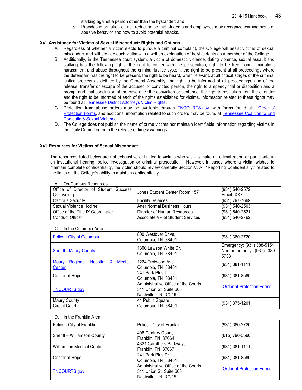stalking against a person other than the bystander; and

5. Provides information on risk reduction so that students and employees may recognize warning signs of abusive behavior and how to avoid potential attacks.

#### **XV. Assistance for Victims of Sexual Misconduct: Rights and Options**

- A. Regardless of whether a victim elects to pursue a criminal complaint, the College will assist victims of sexual misconduct and will provide each victim with a written explanation of her/his rights as a member of the College.
- B. Additionally, in the Tennessee court system, a victim of domestic violence, dating violence, sexual assault and stalking has the following rights: the right to confer with the prosecution, right to be free from intimidation, harassment and abuse throughout the criminal justice system, the right to be present at all proceedings where the defendant has the right to be present, the right to be heard, when relevant, at all critical stages of the criminal justice process as defined by the General Assembly, the right to be informed of all proceedings, and of the release, transfer or escape of the accused or convicted person, the right to a speedy trial or disposition and a prompt and final conclusion of the case after the conviction or sentence, the right to restitution from the offender and the right to be informed of each of the rights established for victims. Information related to these rights may be found at [Tennessee District Attorneys Victim Rights.](http://www.tndagc.com/vr.htm)
- C. Protection from abuse orders may be available through [TNCOURTS.gov,](http://www.tncourts.gov/programs/self-help-center/forms/order-protection-forms) with forms found at: [Order of](http://www.tncourts.gov/programs/self-help-center/forms/order-protection-forms)  [Protection Forms,](http://www.tncourts.gov/programs/self-help-center/forms/order-protection-forms) and additional information related to such orders may be found at Tennessee Coalition to End [Domestic & Sexual Violence.](http://tncoalition.org/resources/legal-resources.html)
- D. The College does not publish the name of crime victims nor maintain identifiable information regarding victims in the Daily Crime Log or in the release of timely warnings.

#### **XVI. Resources for Victims of Sexual Misconduct**

The resources listed below are not exhaustive or limited to victims who wish to make an official report or participate in an institutional hearing, police investigation or criminal prosecution. However, in cases where a victim wishes to maintain complete confidentiality, the victim should review carefully Section V. A. "Reporting Confidentially," related to the limits on the College's ability to maintain confidentiality.

| $11.$ OII OUIIIDUS I TOSOUI OOS                     |                                  |                              |  |  |  |
|-----------------------------------------------------|----------------------------------|------------------------------|--|--|--|
| Office of Director of Student Success<br>Counseling | Jones Student Center Room 157    | (931) 540-2572<br>Email, XXX |  |  |  |
| Campus Security                                     | <b>Facility Services</b>         | (931) 797-7669               |  |  |  |
| Sexual Violence Hotline                             | After Normal Business Hours      | (931) 540-2503               |  |  |  |
| Office of the Title IX Coordinator                  | Director of Human Resources      | (931) 540-2521               |  |  |  |
| <b>Conduct Officer</b>                              | Associate VP of Student Services | (931) 540-2762               |  |  |  |

#### A. On-Campus Resources

| C. | In the Columbia Area |
|----|----------------------|
|    |                      |

| Police - City of Columbia                            | 800 Westover Drive,<br>Columbia, TN 38401   | (931) 380-2720                                                |
|------------------------------------------------------|---------------------------------------------|---------------------------------------------------------------|
| <b>Sheriff - Maury County</b>                        | 1300 Lawson White Dr.<br>Columbia, TN 38401 | Emergency: (931) 388-5151<br>Non-emergency (931) 380-<br>5733 |
| <b>Medical</b><br>Regional<br>&<br>Hospital<br>Maury | 1224 Trotwood Ave                           | $(931)$ 381-1111                                              |
| Center                                               | Columbia, TN 38401                          |                                                               |
| Center of Hope                                       | 241 Park Plus Dr.                           | $(931)$ 381-8580                                              |
|                                                      | Columbia, TN 38401                          |                                                               |
|                                                      | Administrative Office of the Courts         | <b>Order of Protection Forms</b>                              |
| <b>TNCOURTS.gov</b>                                  | 511 Union St. Suite 600                     |                                                               |
|                                                      | Nashville, TN 37219                         |                                                               |
| <b>Maury County</b>                                  | 41 Public Square                            |                                                               |
| <b>Circuit Court</b>                                 | Columbia, TN 38401                          | (931) 375-1201                                                |

#### D. In the Franklin Area

| Police - City of Franklin        | Police - City of Franklin                                                             | (931) 380-2720                   |
|----------------------------------|---------------------------------------------------------------------------------------|----------------------------------|
| Sheriff - Williamson County      | 408 Century Court,<br>Franklin, TN 37064                                              | (615) 790-5560                   |
| <b>Williamson Medical Center</b> | 4321 Carothers Parkway,<br>Franklin, TN 37067                                         | $(931)$ 381-1111                 |
| Center of Hope                   | 241 Park Plus Dr.<br>Columbia, TN 38401                                               | $(931)$ 381-8580                 |
| <b>TNCOURTS.gov</b>              | Administrative Office of the Courts<br>511 Union St. Suite 600<br>Nashville, TN 37219 | <b>Order of Protection Forms</b> |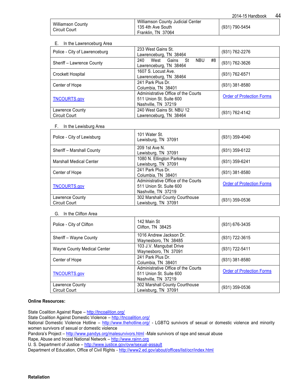2014-15 Handbook 44

| <b>Williamson County</b><br><b>Circuit Court</b> | Williamson County Judicial Center<br>135 4th Ave South<br>Franklin, TN 37064 | (931) 790-5454 |
|--------------------------------------------------|------------------------------------------------------------------------------|----------------|
|                                                  |                                                                              |                |

#### E. In the Lawrenceburg Area

| Police - City of Lawrenceburg           | 233 West Gains St.<br>Lawrenceburg, TN 38464                                          | (931) 762-2276                   |
|-----------------------------------------|---------------------------------------------------------------------------------------|----------------------------------|
| Sheriff - Lawrence County               | #8<br>240<br>West Gains St<br><b>NBU</b><br>Lawrenceburg, TN 38464                    | (931) 762-3626                   |
| Crockett Hospital                       | 1607 S. Locust Ave.<br>Lawrenceburg, TN 38464                                         | (931) 762-6571                   |
| Center of Hope                          | 241 Park Plus Dr.<br>Columbia, TN 38401                                               | (931) 381-8580                   |
| <b>TNCOURTS.gov</b>                     | Administrative Office of the Courts<br>511 Union St. Suite 600<br>Nashville, TN 37219 | <b>Order of Protection Forms</b> |
| Lawrence County<br><b>Circuit Court</b> | 240 West Gains St. NBU 12<br>Lawrenceburg, TN 38464                                   | (931) 762-4142                   |

### F. In the Lewisburg Area

| Police - City of Lewisburg              | 101 Water St.<br>Lewisburg, TN 37091                                                  | (931) 359-4040                   |
|-----------------------------------------|---------------------------------------------------------------------------------------|----------------------------------|
| Sheriff - Marshall County               | 209 1st Ave N.<br>Lewisburg, TN 37091                                                 | (931) 359-6122                   |
| <b>Marshall Medical Center</b>          | 1080 N. Ellington Parkway<br>Lewisburg, TN 37091                                      | (931) 359-6241                   |
| Center of Hope                          | 241 Park Plus Dr.<br>Columbia, TN 38401                                               | (931) 381-8580                   |
| <b>TNCOURTS.gov</b>                     | Administrative Office of the Courts<br>511 Union St. Suite 600<br>Nashville, TN 37219 | <b>Order of Protection Forms</b> |
| Lawrence County<br><b>Circuit Court</b> | 302 Marshall County Courthouse<br>Lewisburg, TN 37091                                 | (931) 359-0536                   |

### G. In the Clifton Area

| Police - City of Clifton                | 142 Main St<br>Clifton, TN 38425                                                      | (931) 676-3435                   |
|-----------------------------------------|---------------------------------------------------------------------------------------|----------------------------------|
| Sheriff - Wayne County                  | 1016 Andrew Jackson Dr.<br>Waynesboro, TN 38485                                       | (931) 722-3615                   |
| Wayne County Medical Center             | 103 J.V. Mangubat Drive<br>Waynesboro, TN 37091                                       | (931) 722-5411                   |
| Center of Hope                          | 241 Park Plus Dr.<br>Columbia, TN 38401                                               | (931) 381-8580                   |
| <b>TNCOURTS.gov</b>                     | Administrative Office of the Courts<br>511 Union St. Suite 600<br>Nashville, TN 37219 | <b>Order of Protection Forms</b> |
| Lawrence County<br><b>Circuit Court</b> | 302 Marshall County Courthouse<br>Lewisburg, TN 37091                                 | (931) 359-0536                   |

## **Online Resources:**

State Coalition Against Rape - <http://tncoalition.org/>

State Coalition Against Domestic Violence – <http://tncoalition.org/>

Pandora's Project – <http://www.pandys.org/malesurvivors.html> -Male survivors of rape and sexual abuse

Rape, Abuse and Incest National Network – [http://www.rainn.org](http://www.rainn.org/) 

U. S. Department of Justice – <http://www.justice.gov/ovw/sexual-assault>

Department of Education, Office of Civil Rights - <http://www2.ed.gov/about/offices/list/ocr/index.html>

National Domestic Violence Hotline – <http://www.thehotline.org/> - LGBTQ survivors of sexual or domestic violence and minority women survivors of sexual or domestic violence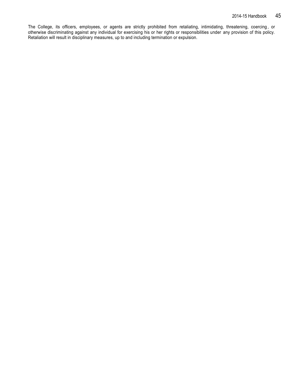The College, its officers, employees, or agents are strictly prohibited from retaliating, intimidating, threatening, coercing , or otherwise discriminating against any individual for exercising his or her rights or responsibilities under any provision of this policy. Retaliation will result in disciplinary measures, up to and including termination or expulsion.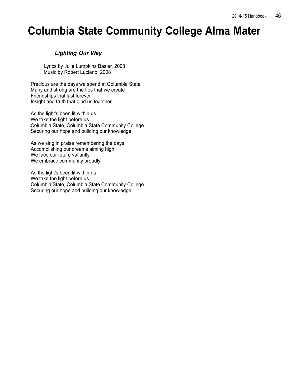## **Columbia State Community College Alma Mater**

## *Lighting Our Way*

Lyrics by Julie Lumpkins Basler, 2008 Music by Robert Luciano, 2008

Precious are the days we spend at Columbia State Many and strong are the ties that we create Friendships that last forever Insight and truth that bind us together

As the light's been lit within us We take the light before us Columbia State, Columbia State Community College Securing our hope and building our knowledge

As we sing in praise remembering the days Accomplishing our dreams aiming high We face our future valiantly We embrace community proudly

As the light's been lit within us We take the light before us Columbia State, Columbia State Community College Securing our hope and building our knowledge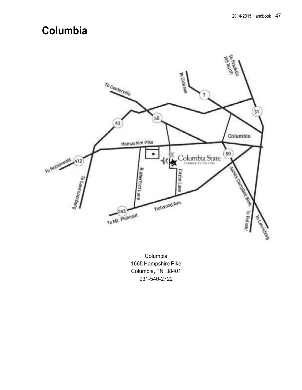## **Columbia**



Columbia 1665 Hampshire Pike Columbia, TN 38401 931-540-2722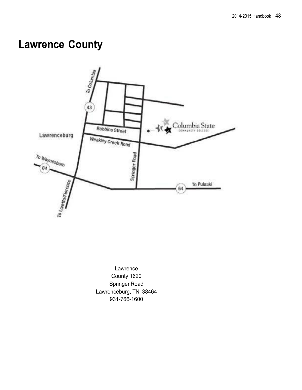## **Lawrence County**



Lawrence County 1620 Springer Road Lawrenceburg, TN 38464 931-766-1600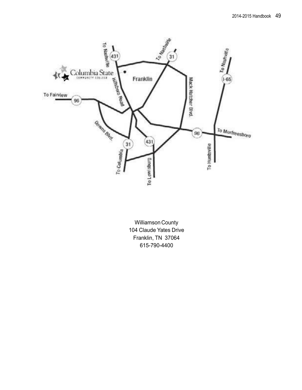

**Williamson County** 104 Claude Yates Drive Franklin, TN 37064 615-790-4400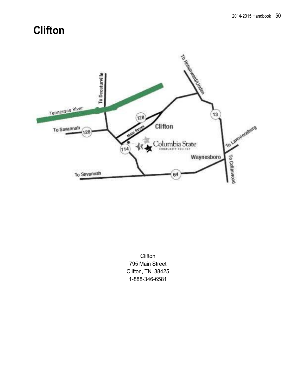## **Clifton**



**Clifton** 795 Main Street Clifton, TN 38425 1-888-346-6581